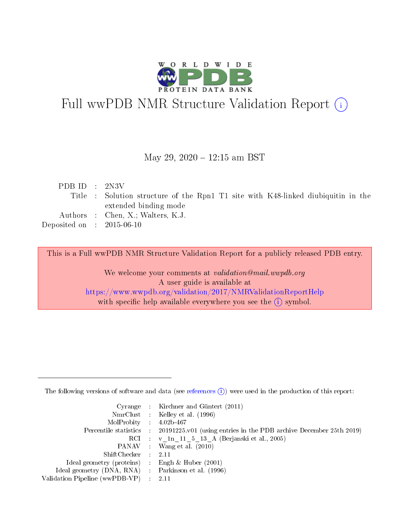

# Full wwPDB NMR Structure Validation Report (i)

## May 29, 2020 - 12:15 am BST

| PDB ID : $2N3V$             |                                                                                   |
|-----------------------------|-----------------------------------------------------------------------------------|
|                             | Title : Solution structure of the Rpn1 T1 site with K48-linked diubiquitin in the |
|                             | extended binding mode                                                             |
|                             | Authors : Chen, X.; Walters, K.J.                                                 |
| Deposited on : $2015-06-10$ |                                                                                   |
|                             |                                                                                   |

This is a Full wwPDB NMR Structure Validation Report for a publicly released PDB entry.

We welcome your comments at validation@mail.wwpdb.org A user guide is available at <https://www.wwpdb.org/validation/2017/NMRValidationReportHelp> with specific help available everywhere you see the  $(i)$  symbol.

The following versions of software and data (see [references](https://www.wwpdb.org/validation/2017/NMRValidationReportHelp#references)  $(1)$ ) were used in the production of this report:

|                                                     | Cyrange : Kirchner and Güntert (2011)                                                      |
|-----------------------------------------------------|--------------------------------------------------------------------------------------------|
|                                                     | NmrClust : Kelley et al. (1996)                                                            |
| MolProbity : 4.02b-467                              |                                                                                            |
|                                                     | Percentile statistics : 20191225.v01 (using entries in the PDB archive December 25th 2019) |
|                                                     | RCI : v 1n 11 5 13 A (Berjanski et al., 2005)                                              |
|                                                     | PANAV : Wang et al. (2010)                                                                 |
| $ShiftChecker$ : 2.11                               |                                                                                            |
| Ideal geometry (proteins) : Engh $\&$ Huber (2001)  |                                                                                            |
| Ideal geometry (DNA, RNA) : Parkinson et al. (1996) |                                                                                            |
| Validation Pipeline (wwPDB-VP)                      | - 2.11                                                                                     |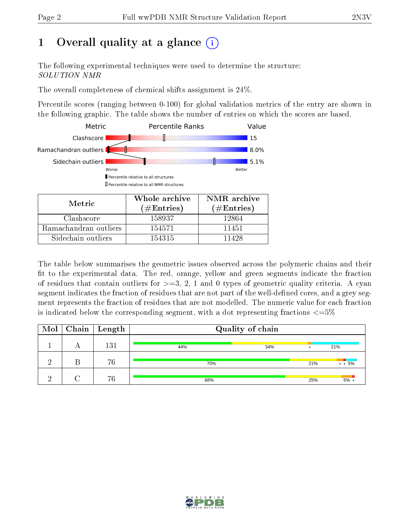# 1 [O](https://www.wwpdb.org/validation/2017/NMRValidationReportHelp#overall_quality)verall quality at a glance  $(i)$

The following experimental techniques were used to determine the structure: SOLUTION NMR

The overall completeness of chemical shifts assignment is 24%.

Percentile scores (ranging between 0-100) for global validation metrics of the entry are shown in the following graphic. The table shows the number of entries on which the scores are based.



| Metric                | ( $\#\mathrm{Entries}$ ) | $(\#Entries)$ |
|-----------------------|--------------------------|---------------|
| Clashscore            | 158937                   | 12864         |
| Ramachandran outliers | 154571                   | 11451         |
| Sidechain outliers    | 154315                   | 11428         |

The table below summarises the geometric issues observed across the polymeric chains and their fit to the experimental data. The red, orange, yellow and green segments indicate the fraction of residues that contain outliers for  $>=$  3, 2, 1 and 0 types of geometric quality criteria. A cyan segment indicates the fraction of residues that are not part of the well-defined cores, and a grey segment represents the fraction of residues that are not modelled. The numeric value for each fraction is indicated below the corresponding segment, with a dot representing fractions  $\epsilon = 5\%$ 

| Mol | $\vert$ Chain $\vert$ Length |     | Quality of chain |     |                    |
|-----|------------------------------|-----|------------------|-----|--------------------|
|     | 131                          | 44% | 34%              |     | 21%                |
|     | 76                           | 70% |                  | 21% | $\cdot$ $\cdot$ 5% |
|     | 76                           | 68% |                  | 25% | $5\%$              |

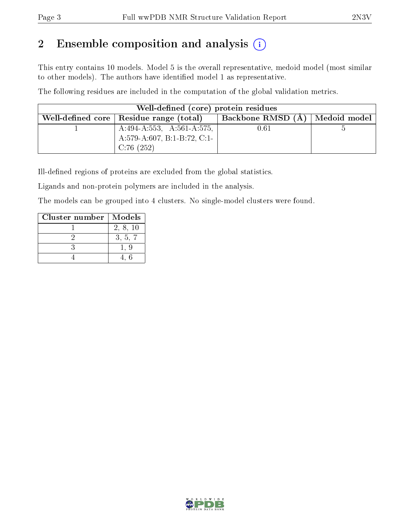# 2 Ensemble composition and analysis  $(i)$

This entry contains 10 models. Model 5 is the overall representative, medoid model (most similar to other models). The authors have identified model 1 as representative.

The following residues are included in the computation of the global validation metrics.

| Well-defined (core) protein residues                                        |                   |              |
|-----------------------------------------------------------------------------|-------------------|--------------|
| Well-defined core $\vert$ Residue range (total)                             | Backbone RMSD (Å) | Medoid model |
| $A:494-A:553$ , $A:561-A:575$ ,<br>A:579-A:607, B:1-B:72, C:1-<br>C:76(252) | 0.61              |              |

Ill-defined regions of proteins are excluded from the global statistics.

Ligands and non-protein polymers are included in the analysis.

The models can be grouped into 4 clusters. No single-model clusters were found.

| Cluster number | Models   |
|----------------|----------|
|                | 2, 8, 10 |
|                | 3, 5, 7  |
|                |          |
|                |          |

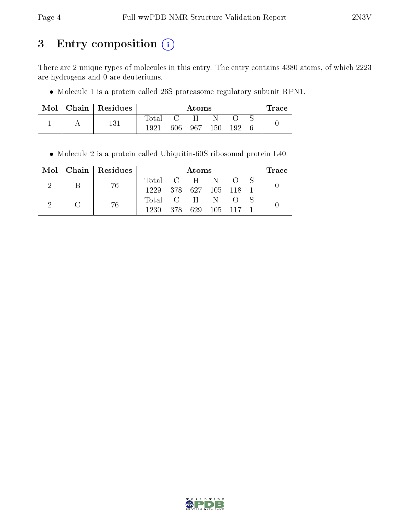# 3 Entry composition (i)

There are 2 unique types of molecules in this entry. The entry contains 4380 atoms, of which 2223 are hydrogens and 0 are deuteriums.

Molecule 1 is a protein called 26S proteasome regulatory subunit RPN1.

| Mol | Chain   Residues |       |        | Atoms        |      |     | $\operatorname{Trace}$ |
|-----|------------------|-------|--------|--------------|------|-----|------------------------|
|     |                  | Total | $\cap$ | $\mathbf{H}$ |      |     |                        |
|     | 131              | 1921  | 606-   | - 967        | 150. | 192 |                        |

Molecule 2 is a protein called Ubiquitin-60S ribosomal protein L40.

|   | $Mol$   Chain   Residues |               | Atoms           |  | l'race |
|---|--------------------------|---------------|-----------------|--|--------|
| В | -76                      | Total C H N O |                 |  |        |
|   |                          | 1229          | 378 627 105 118 |  |        |
|   | 76                       | Total C H N O |                 |  |        |
|   |                          | 1230          | 378 629 105 117 |  |        |

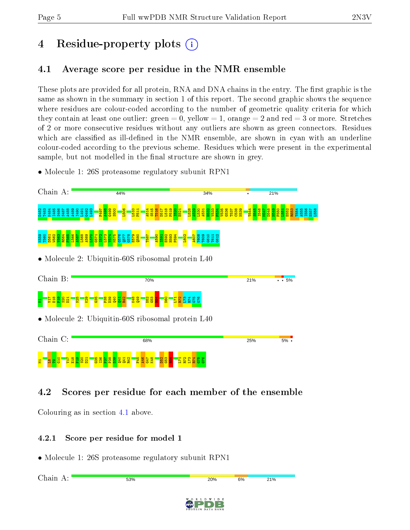# 4 Residue-property plots  $\binom{1}{1}$

# <span id="page-4-0"></span>4.1 Average score per residue in the NMR ensemble

These plots are provided for all protein, RNA and DNA chains in the entry. The first graphic is the same as shown in the summary in section 1 of this report. The second graphic shows the sequence where residues are colour-coded according to the number of geometric quality criteria for which they contain at least one outlier: green  $= 0$ , yellow  $= 1$ , orange  $= 2$  and red  $= 3$  or more. Stretches of 2 or more consecutive residues without any outliers are shown as green connectors. Residues which are classified as ill-defined in the NMR ensemble, are shown in cyan with an underline colour-coded according to the previous scheme. Residues which were present in the experimental sample, but not modelled in the final structure are shown in grey.

• Molecule 1: 26S proteasome regulatory subunit RPN1



# 4.2 Scores per residue for each member of the ensemble

Colouring as in section [4.1](#page-4-0) above.

## 4.2.1 Score per residue for model 1

• Molecule 1: 26S proteasome regulatory subunit RPN1

Chain A:53% 21% 20% 6%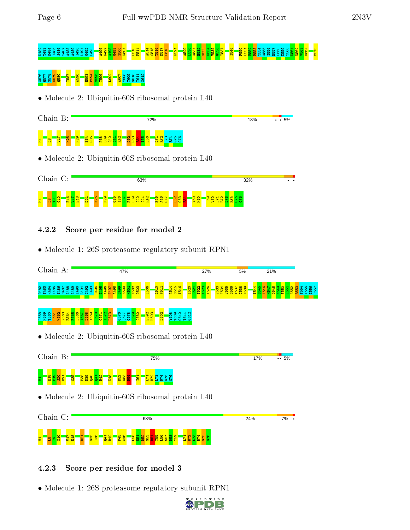# D482 T483 K484 I485 S486 S487 A488 A489 I490 L491 G492 L493 A496 F497 A498 G499 S500 K501 L510 P511 A514 S515 T516 D517 L518 E521 A529 L530 A531 H532 V533 F534 V535 G536 T537 I546 F550 L551 E552 R553 T554 A555 I556 E557 L558 K559 T560 D561 W562 V563 R564 M575

# $\frac{8}{56}$ <br> $\frac{8}{56}$ <br> $\frac{8}{56}$ <br> $\frac{11}{56}$ <br> $\frac{11}{56}$

• Molecule 2: Ubiquitin-60S ribosomal protein L40

| Chain B:                                        | 72%                                                                                                                           | 18% | $\cdot \cdot 5\%$ |
|-------------------------------------------------|-------------------------------------------------------------------------------------------------------------------------------|-----|-------------------|
| $\frac{1}{2}$<br><b>ZEA</b><br><b>i</b> ng<br>불 | <mark>- 8 - 8 - 8 - 8 8 8 8 8 8 8 8 8</mark><br><mark>ិន្តនិង្គនិ</mark><br>• Molecule 2: Ubiquitin-60S ribosomal protein L40 |     |                   |
| Chain C:                                        | 63%                                                                                                                           | 32% |                   |

#### g T<mark>a a â Tâl</mark>  $\frac{17}{21}$  $\frac{8}{13}$  $\overline{\mathbf{B}}$ N25  $\frac{8}{2}$ ន<u>ិងនិន្ននីន្</u>ទី 문 <u>영</u>남<br>단 오 남  $\frac{2}{2}$  $\frac{3}{3}$  $\frac{2}{5}$ Y59  $\frac{1}{2}$ a 3 1 2 1 2 2 8<br>13 1 3 1 2 1 2 8

# 4.2.2 Score per residue for model 2

• Molecule 1: 26S proteasome regulatory subunit RPN1

| Chain A:                                                                                                   | 47%                                                                                       | 27%                         | 5%                                        | 21%                                                     |
|------------------------------------------------------------------------------------------------------------|-------------------------------------------------------------------------------------------|-----------------------------|-------------------------------------------|---------------------------------------------------------|
|                                                                                                            | <b>P51</b>                                                                                | $F_{53}$<br>ន               | 88558<br>88558<br><b>U53</b><br>54<br>554 | <b>1554</b><br>4556<br>1557<br>E55<br>\$4<br>is.<br>R55 |
| /563<br>R564<br>F565<br>L566<br>2,251<br>2,251<br>2,252<br>2,997<br>2,997<br><b>DEC</b><br>$\overline{56}$ | <mark>08ជ</mark><br>825<br>825<br>255<br>ES93<br>H593<br><b>ESS</b><br><b>ESS</b><br>ESSE |                             |                                           |                                                         |
| • Molecule 2: Ubiquitin-60S ribosomal protein L40                                                          |                                                                                           |                             |                                           |                                                         |
| Chain B:                                                                                                   | 75%                                                                                       |                             | 17%                                       | $\cdots 5\%$                                            |
| <b>P<sub>19</sub></b><br><b>ESSE</b><br>G35                                                                | $rac{653}{R54}$<br><b>Bd</b><br>G                                                         |                             |                                           |                                                         |
| • Molecule 2: Ubiquitin-60S ribosomal protein L40                                                          |                                                                                           |                             |                                           |                                                         |
| Chain C:                                                                                                   | 68%                                                                                       |                             | 24%                                       | 7%                                                      |
| 56<br><b>PRD</b>                                                                                           | 56<br>និង<br>ស្រុ<br><b>BB</b><br><mark>မိ</mark><br>$\mathbf{H}$<br>ន្ល<br>57            | 4<br>$\mathbf{\alpha}$<br>တ |                                           |                                                         |

# 4.2.3 Score per residue for model 3

• Molecule 1: 26S proteasome regulatory subunit RPN1

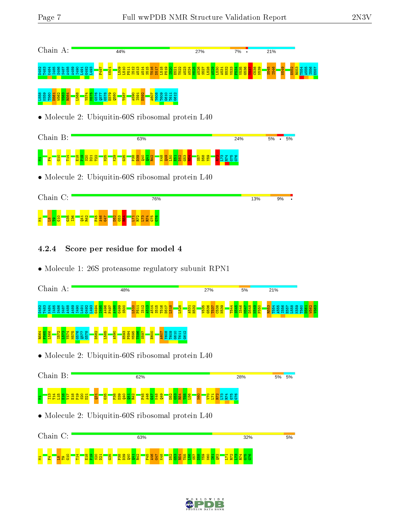| Chain A:                                                                          | 44%                                                  | 27%                                                    | 7% .     | 21%                   |           |
|-----------------------------------------------------------------------------------|------------------------------------------------------|--------------------------------------------------------|----------|-----------------------|-----------|
|                                                                                   | 88<br>$\frac{1}{5}$<br>圖                             | <mark>និងទីក្នុង</mark><br>និងទីក្នុង<br><b>B</b><br>8 | <b>S</b> |                       | <b>BB</b> |
| <mark>ទី 2</mark><br>ខ្លួន 2 2 3 <mark>3 3</mark><br>ខ្លួន 3 3 3 <mark>3 3</mark> |                                                      |                                                        |          |                       |           |
|                                                                                   | • Molecule 2: Ubiquitin-60S ribosomal protein L40    |                                                        |          |                       |           |
| Chain B:                                                                          | 63%                                                  |                                                        | 24%      | 5%<br>5%<br>$\bullet$ |           |
|                                                                                   |                                                      | $\frac{257}{132}$                                      |          |                       |           |
|                                                                                   | • Molecule 2: Ubiquitin-60S ribosomal protein L40    |                                                        |          |                       |           |
| Chain C:                                                                          | 76%                                                  |                                                        | 13%      | 9%                    |           |
| <b>A46</b><br>¥                                                                   |                                                      |                                                        |          |                       |           |
| 4.2.4                                                                             | Score per residue for model 4                        |                                                        |          |                       |           |
|                                                                                   | • Molecule 1: 26S proteasome regulatory subunit RPN1 |                                                        |          |                       |           |

|                                                   |  | Chain A: |  |  |    |  |  | 48%  |      |             |            |  |  |  |  |  |      |  |                                             |  | 27% |           |          |  |                                     |  |  |  | 21%<br>5% |  |                                                         |  |  |  |  |  |                                                                                    |  |  |       |  |  |   |  |  |
|---------------------------------------------------|--|----------|--|--|----|--|--|------|------|-------------|------------|--|--|--|--|--|------|--|---------------------------------------------|--|-----|-----------|----------|--|-------------------------------------|--|--|--|-----------|--|---------------------------------------------------------|--|--|--|--|--|------------------------------------------------------------------------------------|--|--|-------|--|--|---|--|--|
| <b>D482</b>                                       |  |          |  |  |    |  |  |      |      |             |            |  |  |  |  |  |      |  | <b>BEBRESEES</b><br>BEB <mark>RESEES</mark> |  |     |           | <b>B</b> |  | $\frac{1}{5}$ $\frac{1}{5}$<br>2日 2 |  |  |  |           |  | $\frac{9}{8}$ $\frac{9}{8}$ $\frac{9}{8}$ $\frac{9}{8}$ |  |  |  |  |  | <mark>ដូនដូម និង</mark><br><mark>ដូង ងង ង ង ង</mark><br><mark>ង ង ង ង ង ង ង</mark> |  |  | 88888 |  |  | R |  |  |
| 1564                                              |  |          |  |  | Ġ7 |  |  | D582 | L585 | <b>A590</b> | <b>H59</b> |  |  |  |  |  | E600 |  |                                             |  |     | <b>C5</b> |          |  |                                     |  |  |  |           |  |                                                         |  |  |  |  |  |                                                                                    |  |  |       |  |  |   |  |  |
| • Molecule 2: Ubiquitin-60S ribosomal protein L40 |  |          |  |  |    |  |  |      |      |             |            |  |  |  |  |  |      |  |                                             |  |     |           |          |  |                                     |  |  |  |           |  |                                                         |  |  |  |  |  |                                                                                    |  |  |       |  |  |   |  |  |





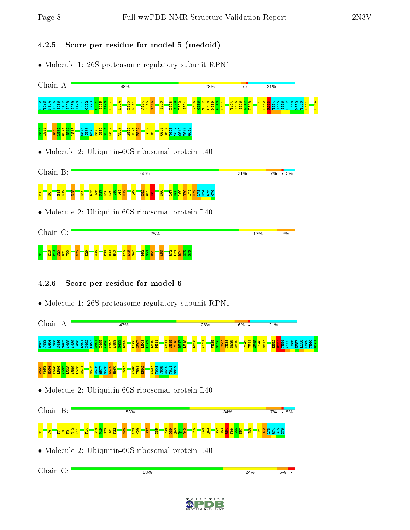# 4.2.5 Score per residue for model 5 (medoid)

• Molecule 1: 26S proteasome regulatory subunit RPN1

| Chain A:                                              | 48%                                                                | 28%                                     |     | 21%                                       |  |
|-------------------------------------------------------|--------------------------------------------------------------------|-----------------------------------------|-----|-------------------------------------------|--|
| 888888688865888 <mark>889<br/>8888886888658888</mark> | $\circ$                                                            | <u>ង ខ្លួន</u><br>ខេត្ត                 |     | <b>B54</b><br>0985<br>ខេត្ត<br>សមាធិក្នុង |  |
| 889<br>1288<br>1889<br>1889<br>1882<br>1882           | C506<br>A607<br>L602<br>V603<br>A590<br>L591<br>E592<br><b>BSL</b> |                                         |     |                                           |  |
| • Molecule 2: Ubiquitin-60S ribosomal protein L40     |                                                                    |                                         |     |                                           |  |
| Chain B:                                              | 66%                                                                |                                         | 21% | $\frac{1}{100}$ 5%<br>7%                  |  |
| ន្ត្រីនិន្នីដី<br>룗<br>문                              | <b>G53</b><br><b>B</b><br><u> نو</u>                               | 9성급 전<br>3성점 검검 <mark>정 이용 &amp;</mark> |     |                                           |  |
|                                                       | • Molecule 2: Ubiquitin-60S ribosomal protein L40                  |                                         |     |                                           |  |
| Chain C:                                              | 75%                                                                |                                         | 17% | 8%                                        |  |
| 35<br>$\frac{87}{21}$<br>egg<br>Fo                    | <b>925</b><br>125<br>125<br>125                                    |                                         |     |                                           |  |
| 4.2.6                                                 | Score per residue for model 6                                      |                                         |     |                                           |  |

• Molecule 1: 26S proteasome regulatory subunit RPN1

| Chain A:                                                                                                                                    | 47%                                                                                                              | 26%                                                     | $6\%$ .                                                    | 21%                                       |             |
|---------------------------------------------------------------------------------------------------------------------------------------------|------------------------------------------------------------------------------------------------------------------|---------------------------------------------------------|------------------------------------------------------------|-------------------------------------------|-------------|
| 1483<br>K484<br><b>98</b>                                                                                                                   | $\frac{688}{6566221}$<br>L528<br>S <sub>51</sub><br>45 <sub>1</sub><br>품<br><b>D51</b>                           | C538<br>NESSO<br>C540<br>A531<br>T53<br>V <sub>53</sub> | <b>I546</b><br>T <sub>54</sub><br><b>M54</b><br><b>Fa1</b> | <b>E55</b><br>A <sub>55</sub><br>層<br>-61 | <b>T561</b> |
| $\begin{array}{r} 67 \\ 680 \\ 690 \\ 691 \\ 790 \\ 891 \\ \end{array}$<br>1575<br>G576<br>G578<br><b>Q580</b><br>566<br>565<br><b>LLSD</b> | A590<br>1591<br>E592<br><b>E09</b><br>N607<br>Y608<br>1 <mark>87</mark><br>G61                                   |                                                         |                                                            |                                           |             |
| • Molecule 2: Ubiquitin-60S ribosomal protein L40                                                                                           |                                                                                                                  |                                                         |                                                            |                                           |             |
| Chain B:                                                                                                                                    | 53%                                                                                                              | 34%                                                     |                                                            | 7% • 5%                                   |             |
| <mark>ឌីឌីន្លន្តដ</mark><br><mark>Eaged</mark><br>14                                                                                        | <mark>ន្ទ្ទ្ទ</mark><br>$\frac{1}{2}$<br>$\frac{1}{2}$<br><mark>"8</mark> "<br><b>Reduced</b><br>F <sub>45</sub> | <mark>ន្តនីដ្ឋាននី</mark><br>K48<br><b>epp</b>          | <mark>能</mark>                                             | ឌឌឌឌី <mark>ឌីដី</mark>                   |             |
| • Molecule 2: Ubiquitin-60S ribosomal protein L40                                                                                           |                                                                                                                  |                                                         |                                                            |                                           |             |
|                                                                                                                                             |                                                                                                                  |                                                         |                                                            |                                           |             |

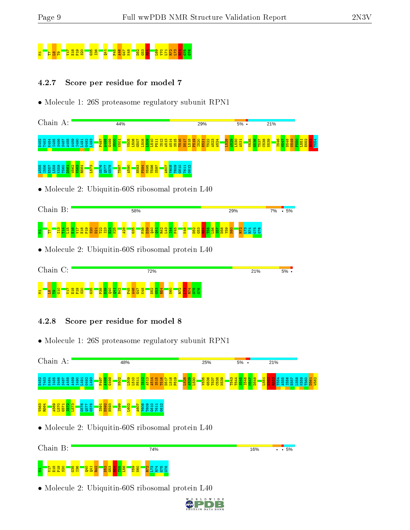# M19 S20 S20 S20 G36 <mark>S20 G36 F56 G36 G53 G54</mark>

# 4.2.7 Score per residue for model 7

• Molecule 1: 26S proteasome regulatory subunit RPN1

| Chain A:                                                                              | 44%                                                         | 29%                                        | 5%                                           | 21%                             |
|---------------------------------------------------------------------------------------|-------------------------------------------------------------|--------------------------------------------|----------------------------------------------|---------------------------------|
| 33 83 83 85 88 89 9 1 9 3 9<br>8 8 8 8 8 9 8 9 9 9 1 9 9 9<br>3 日 8 9 9 9 9 9 1 9 9 9 | ន្តន្ត្ <u>រី<br/>ប្រឹង្គន្ធ</u><br>$\frac{10}{2}$          | <b>B16</b><br>518<br><b>L520</b><br>1522   |                                              |                                 |
| 1556<br>1558 1559<br>1560 156 <mark>0 1563</mark><br>1564 1564                        | 8250<br>2250<br>9250<br><b>H593</b><br>P594<br>P595<br>S597 | <b>AGO</b><br>YGOO GI1<br>CHI              |                                              |                                 |
|                                                                                       | Molecule 2: Ubiquitin-60S ribosomal protein L40             |                                            |                                              |                                 |
| Chain B:                                                                              | 58%                                                         |                                            | 29%                                          | $.5\%$<br>7%                    |
|                                                                                       | <mark>មិន</mark> ិទ្ធិនិន្ននីន្នីនីន្ន                      | <mark>ទី</mark> ធ្លី ខ្លួនី <mark>ដ</mark> | 9성업<br><mark>정</mark> 정적<br><mark>정</mark> 정 |                                 |
|                                                                                       | Molecule 2: Ubiquitin-60S ribosomal protein L40             |                                            |                                              |                                 |
| Chain C:                                                                              | 72%                                                         |                                            | 21%                                          | $5%$ .                          |
| 日<br>P19                                                                              |                                                             |                                            |                                              |                                 |
|                                                                                       |                                                             |                                            |                                              |                                 |
| 4.2.8                                                                                 | Score per residue for model 8                               |                                            |                                              |                                 |
|                                                                                       | • Molecule 1: 26S proteasome regulatory subunit RPN1        |                                            |                                              |                                 |
| Chain A:                                                                              | 48%                                                         | 25%                                        | $5%$ .                                       | 21%                             |
| 8 8 8 8 8 6 8 9 8 5 9 9<br>8 8 8 9 8 9 8 9 9 5 9 9<br>8 8 8 9 8 9 9 9 9 9 9 9         | 3515<br>513<br>514                                          | <b>RES</b><br>RES<br>B                     |                                              | និន្ទនី<br>ទី១៩ មិន<br>ទី១៩ មិន |
|                                                                                       |                                                             |                                            |                                              |                                 |
|                                                                                       | • Molecule 2: Ubiquitin-60S ribosomal protein L40           |                                            |                                              |                                 |
| Chain B:                                                                              | 74%                                                         |                                            | 16%                                          | $\cdot 5\%$                     |
| ō<br>$\frac{8}{13}$<br><u> 면 법 양</u>                                                  | <u>유무</u><br>오 프로                                           |                                            |                                              |                                 |

D W I D E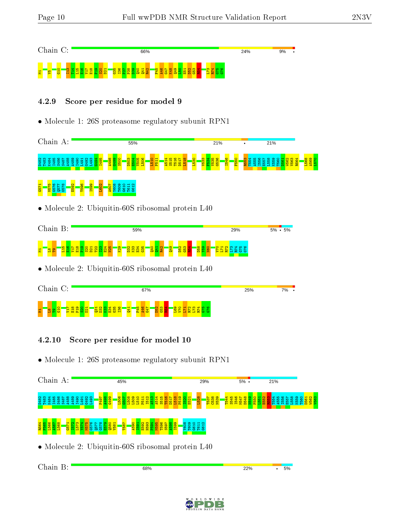| Chain |              | $\curvearrowright$ .<br>$\backsim$ . |  |  |  |  |    |  |  | 66% |    |   |  |  |    |  |  |  | 24% |  |  | 9% |  |
|-------|--------------|--------------------------------------|--|--|--|--|----|--|--|-----|----|---|--|--|----|--|--|--|-----|--|--|----|--|
| 불     | $\circ$<br>퓽 |                                      |  |  |  |  | ۰. |  |  |     | E. | c |  |  | e. |  |  |  |     |  |  |    |  |

#### 4.2.9 Score per residue for model 9

• Molecule 1: 26S proteasome regulatory subunit RPN1

| 55%                                                                                    | 21%                                 | 21%                                                                                                                                        |
|----------------------------------------------------------------------------------------|-------------------------------------|--------------------------------------------------------------------------------------------------------------------------------------------|
| <b>156</b><br>S5 <sub>15</sub><br><b>1505</b><br>D <sub>51</sub><br>$\frac{1}{2}$      | F534<br><b>7535</b><br>3536<br>igas | 1569<br>568                                                                                                                                |
|                                                                                        |                                     |                                                                                                                                            |
|                                                                                        |                                     |                                                                                                                                            |
| 59%                                                                                    | 29%                                 | $5\% \cdot 5\%$                                                                                                                            |
| $3^{\circ}$<br>$\frac{4}{6}$ ន្ធី<br>940<br>$\mathbf{\alpha}$<br>53<br>$\infty$<br>341 | $\circ$                             |                                                                                                                                            |
|                                                                                        |                                     |                                                                                                                                            |
| 67%                                                                                    | 25%                                 | 7%                                                                                                                                         |
| 65<br><b>222224</b><br>22224<br>446<br>FF.                                             |                                     |                                                                                                                                            |
|                                                                                        | $\frac{88}{566}$                    | <b>533</b><br>• Molecule 2: Ubiquitin-60S ribosomal protein L40<br>8g<br>• Molecule 2: Ubiquitin-60S ribosomal protein L40<br>8775<br>5775 |

- 4.2.10 Score per residue for model 10
- Molecule 1: 26S proteasome regulatory subunit RPN1

| Chain A:                                          |              |                    |                                                 |                               |                  |      | 45%                             |   |         |     |            |     |                     |               |        |        |   |                        |          | 29% |   |     |         |                 |            | $5\%$ . |                   |   |                 | 21% |  |    |  |            |  |
|---------------------------------------------------|--------------|--------------------|-------------------------------------------------|-------------------------------|------------------|------|---------------------------------|---|---------|-----|------------|-----|---------------------|---------------|--------|--------|---|------------------------|----------|-----|---|-----|---------|-----------------|------------|---------|-------------------|---|-----------------|-----|--|----|--|------------|--|
| $^{\circ}$<br><b>940</b>                          |              | o<br>⊣<br>ဒ္ဒ<br>앏 | $\mathbf{\Omega}$<br>က<br>ு<br>ဒ္ဒ<br><b>CD</b> | $\sim$<br>$\frac{1}{2}$<br>ъ. | 665 v            |      | ¢<br><b>S</b><br>a<br><b>C5</b> | ↵ | 50<br>B | 뽒   |            | er. | $\overline{r}$<br>œ |               | B      | െ      |   | $\circ$ $\blacksquare$ | $\infty$ |     | 陷 | C53 | 54<br>E | 뎒<br><b>CO-</b> | <b>M54</b> | 8       | $\circ$<br>თ<br>× | ⊣ | R<br><b>E55</b> |     |  |    |  | <b>The</b> |  |
| <b>R564</b><br>٥o<br>n                            | 8<br>72<br>兽 |                    | ∞<br>뚐                                          | ∞<br>N<br>မြ<br>呂             | 8<br>o<br>呂<br>Ю | V581 | <b>1887</b>                     |   | A590    | E59 | <b>EGH</b> | တ   | <b>T596</b><br>ၜ    | N<br>o.<br>B. | 8<br>恩 | 8<br>僧 | ႜ | ႜ<br>g g               | 888      |     |   |     |         |                 |            |         |                   |   |                 |     |  |    |  |            |  |
| • Molecule 2: Ubiquitin-60S ribosomal protein L40 |              |                    |                                                 |                               |                  |      |                                 |   |         |     |            |     |                     |               |        |        |   |                        |          |     |   |     |         |                 |            |         |                   |   |                 |     |  |    |  |            |  |
| Chain B:                                          |              |                    |                                                 |                               |                  |      |                                 |   |         |     | 68%        |     |                     |               |        |        |   |                        |          |     |   |     |         |                 |            | 22%     |                   |   |                 |     |  | 5% |  |            |  |

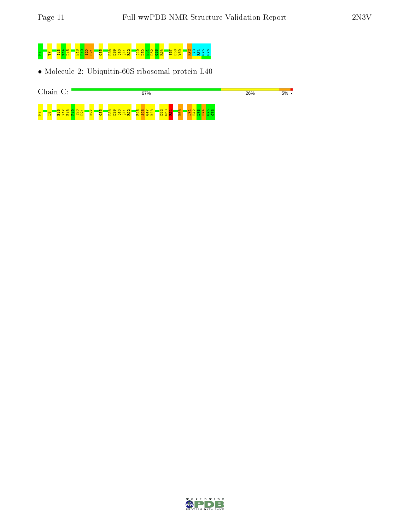

• Molecule 2: Ubiquitin-60S ribosomal protein L40



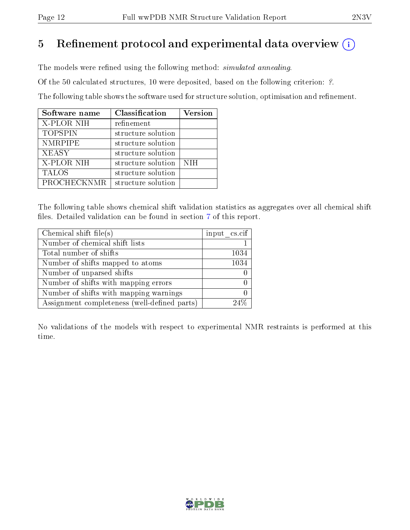# 5 Refinement protocol and experimental data overview  $\binom{1}{k}$

The models were refined using the following method: *simulated annealing*.

Of the 50 calculated structures, 10 were deposited, based on the following criterion: ?.

The following table shows the software used for structure solution, optimisation and refinement.

| Software name  | Classification     | <b>Version</b> |
|----------------|--------------------|----------------|
| X-PLOR NIH     | refinement         |                |
| <b>TOPSPIN</b> | structure solution |                |
| <b>NMRPIPE</b> | structure solution |                |
| <b>XEASY</b>   | structure solution |                |
| X-PLOR NIH     | structure solution | <b>NIH</b>     |
| <b>TALOS</b>   | structure solution |                |
| PROCHECKNMR    | structure solution |                |

The following table shows chemical shift validation statistics as aggregates over all chemical shift files. Detailed validation can be found in section [7](#page-26-0) of this report.

| Chemical shift file(s)                       | input cs.cif |
|----------------------------------------------|--------------|
| Number of chemical shift lists               |              |
| Total number of shifts                       | 1034         |
| Number of shifts mapped to atoms             | 1034         |
| Number of unparsed shifts                    |              |
| Number of shifts with mapping errors         |              |
| Number of shifts with mapping warnings       |              |
| Assignment completeness (well-defined parts) |              |

No validations of the models with respect to experimental NMR restraints is performed at this time.

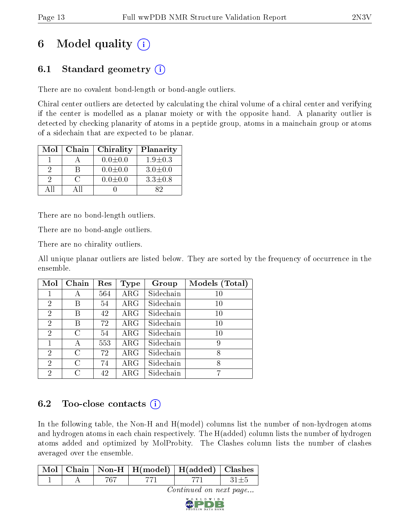# 6 Model quality  $(i)$

# 6.1 Standard geometry  $(i)$

There are no covalent bond-length or bond-angle outliers.

Chiral center outliers are detected by calculating the chiral volume of a chiral center and verifying if the center is modelled as a planar moiety or with the opposite hand. A planarity outlier is detected by checking planarity of atoms in a peptide group, atoms in a mainchain group or atoms of a sidechain that are expected to be planar.

| Mol | Chain | Chirality     | Planarity     |
|-----|-------|---------------|---------------|
|     |       | $0.0 \pm 0.0$ | $1.9 \pm 0.3$ |
|     |       | $0.0 \pm 0.0$ | $3.0 \pm 0.0$ |
|     |       | $0.0 \pm 0.0$ | $3.3 \pm 0.8$ |
|     |       |               | 82            |

There are no bond-length outliers.

There are no bond-angle outliers.

There are no chirality outliers.

All unique planar outliers are listed below. They are sorted by the frequency of occurrence in the ensemble.

| Mol            | Chain   | Res | Type       | Group     | Models (Total) |
|----------------|---------|-----|------------|-----------|----------------|
| 1              | А       | 564 | $\rm{ARG}$ | Sidechain | 10             |
| $\overline{2}$ | Β       | 54  | $\rm{ARG}$ | Sidechain | 10             |
| $\overline{2}$ | В       | 42  | $\rm{ARG}$ | Sidechain | 10             |
| $\overline{2}$ | Β       | 72  | $\rm{ARG}$ | Sidechain | 10             |
| $\overline{2}$ | $\rm C$ | 54  | $\rm{ARG}$ | Sidechain | 10             |
| 1              | А       | 553 | $\rm{ARG}$ | Sidechain | 9              |
| $\overline{2}$ | C       | 72  | $\rm{ARG}$ | Sidechain | 8              |
| $\overline{2}$ | $\rm C$ | 74  | $\rm{ARG}$ | Sidechain | 8              |
| $\overline{2}$ | C       | 42  | $\rm{ARG}$ | Sidechain |                |

# 6.2 Too-close contacts (i)

In the following table, the Non-H and H(model) columns list the number of non-hydrogen atoms and hydrogen atoms in each chain respectively. The H(added) column lists the number of hydrogen atoms added and optimized by MolProbity. The Clashes column lists the number of clashes averaged over the ensemble.

|  | Mol   Chain   Non-H   H(model)   H(added)   Clashes |  |
|--|-----------------------------------------------------|--|
|  |                                                     |  |

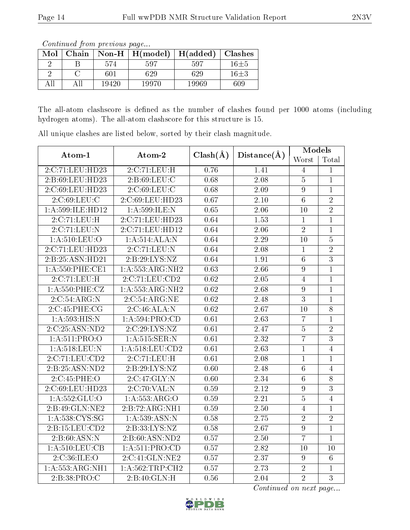Continued from previous page...

| Mol | Chain |       | Non-H $\mid$ H(model) | H(added) | <b>Clashes</b> |
|-----|-------|-------|-----------------------|----------|----------------|
|     |       | 574   | 597                   | 597      | $16\pm5$       |
|     |       | 601   | 629                   | 629      | $16\pm3$       |
|     |       | 19420 | 19970                 | 19969    | 609            |

The all-atom clashscore is defined as the number of clashes found per 1000 atoms (including hydrogen atoms). The all-atom clashscore for this structure is 15.

| Atom-1             | Atom-2                                             | $Clash(\AA)$ |                   | Models         |                |
|--------------------|----------------------------------------------------|--------------|-------------------|----------------|----------------|
|                    |                                                    |              | Distance(A)       | Worst          | Total          |
| 2:C:71:LEU:HD23    | 2:C:71:LEU:H                                       | 0.76         | 1.41              | $\overline{4}$ | 1              |
| 2:B:69:LEU:HD23    | 2:B:69:LEU:C                                       | 0.68         | $2.08\,$          | $\overline{5}$ | $\mathbf{1}$   |
| 2:C:69:LEU:HD23    | 2:C:69:LEU:C                                       | 0.68         | 2.09              | $9\phantom{.}$ | $\mathbf{1}$   |
| 2:C:69:LEU:C       | 2:C:69:LEU:HD23                                    | 0.67         | 2.10              | $6\,$          | $\overline{2}$ |
| 1:A:599:ILE:HD12   | 1:A:599:ILE:N                                      | 0.65         | 2.06              | 10             | $\overline{2}$ |
| 2:C:71:LEU:H       | 2:C:71:LEU:HD23                                    | 0.64         | 1.53              | $\mathbf{1}$   | $\overline{1}$ |
| 2:C:71:LEU:N       | 2:C:71:LEU:HD12                                    | 0.64         | $\overline{2.06}$ | $\overline{2}$ | $\mathbf{1}$   |
| $1:$ A:510:LEU:O   | 1:A:514:ALA:N                                      | 0.64         | 2.29              | 10             | $\mathbf 5$    |
| 2:C:71:LEU:HD23    | 2:C:71:LEU:N                                       | 0.64         | 2.08              | $\mathbf{1}$   | $\overline{2}$ |
| 2: B:25: ASN:HD21  | 2:B:29:LYS:NZ                                      | 0.64         | 1.91              | $\overline{6}$ | $\overline{3}$ |
| 1:A:550:PHE:CE1    | 1:A:553:ARG:NH2                                    | 0.63         | 2.66              | 9              | $\overline{1}$ |
| 2:C:71:LEU:H       | 2:C:71:LEU:CD2                                     | 0.62         | 2.05              | $\overline{4}$ | $\mathbf{1}$   |
| 1: A: 550: PHE: CZ | 1:A:553:ARG:NH2                                    | 0.62         | 2.68              | 9              | $\mathbf{1}$   |
| 2:C:54:ARG:N       | 2:C:54:ARG:NE                                      | 0.62         | 2.48              | 3              | $\mathbf{1}$   |
| 2:C:45:PHE:CG      | $2:C:46:\overline{\text{ALA}}:\overline{\text{N}}$ | 0.62         | 2.67              | 10             | $\overline{8}$ |
| 1:A:593:HIS:N      | 1: A: 594: PRO:CD                                  | 0.61         | $\overline{2.63}$ | $\overline{7}$ | $\mathbf{1}$   |
| 2:C:25:ASN:ND2     | 2:C:29:LYS:NZ                                      | 0.61         | 2.47              | $\overline{5}$ | $\overline{2}$ |
| 1: A:511: PRO:O    | 1:A:515:SER:N                                      | 0.61         | 2.32              | $\overline{7}$ | $\overline{3}$ |
| 1: A:518:LEU: N    | 1: A:518:LEU:CD2                                   | 0.61         | 2.63              | $\mathbf 1$    | $\overline{4}$ |
| 2:C:71:LEU:CD2     | 2:C:71:LEU:H                                       | 0.61         | 2.08              | $\mathbf{1}$   | $\overline{1}$ |
| 2:B:25:ASN:ND2     | 2:B:29:LYS:NZ                                      | 0.60         | $\overline{2.48}$ | $\overline{6}$ | $\overline{4}$ |
| 2:C:45:PHE:O       | 2:C:47:GLY:N                                       | 0.60         | 2.34              | $\overline{6}$ | $\overline{8}$ |
| 2:C:69:LEU:HD23    | 2:C:70:VAL:N                                       | 0.59         | 2.12              | $9\phantom{.}$ | $\overline{3}$ |
| 1:A:552:GLU:O      | 1:A:553:ARG:O                                      | 0.59         | 2.21              | $\overline{5}$ | $\overline{4}$ |
| 2: B:49: GLN: NE2  | 2:B:72:ARG:NH1                                     | 0.59         | 2.50              | $\overline{4}$ | $\overline{1}$ |
| 1: A: 538: CYS:SG  | 1: A: 539: ASN: N                                  | 0.58         | 2.75              | $\overline{2}$ | $\overline{2}$ |
| 2: B: 15: LEU: CD2 | 2:B:33:LYS:NZ                                      | 0.58         | 2.67              | $\overline{9}$ | $\mathbf{1}$   |
| 2: B:60: ASN: N    | 2: B:60: ASN:ND2                                   | 0.57         | 2.50              | $\overline{7}$ | $\mathbf{1}$   |
| 1: A:510: LEU: CB  | 1:A:511:PRO:CD                                     | 0.57         | 2.82              | 10             | 10             |
| 2:C:36:ILE:O       | 2:C:41:GLN:NE2                                     | 0.57         | 2.37              | 9              | $\overline{6}$ |
| 1:A:553:ARG:NH1    | 1: A:562:TRP:CH2                                   | 0.57         | 2.73              | $\overline{2}$ | $\mathbf{1}$   |
| 2:B:38:PRO:C       | 2:B:40:GLN:H                                       | 0.56         | 2.04              | $\overline{2}$ | $\overline{3}$ |

All unique clashes are listed below, sorted by their clash magnitude.

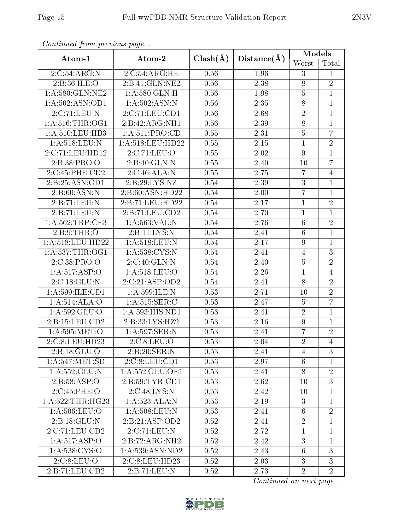| sonnaca jiom picendas pago |                                      |              |             | Models          |                |  |
|----------------------------|--------------------------------------|--------------|-------------|-----------------|----------------|--|
| Atom-1                     | Atom-2                               | $Clash(\AA)$ | Distance(A) | Worst           | Total          |  |
| 2:C:54:ARG:N               | 2:C:54:ARG:HE                        | 0.56         | 1.96        | 3               | $\mathbf{1}$   |  |
| 2:B:36:ILE:O               | 2:B:41:GLN:NE2                       | 0.56         | 2.38        | $8\,$           | $\overline{2}$ |  |
| 1:A:580:GLN:NE2            | 1: A:580: GLN:H                      | 0.56         | 1.98        | $\overline{5}$  | $\overline{1}$ |  |
| 1: A: 502: ASN: OD1        | 1: A:502: ASN: N                     | 0.56         | 2.35        | $\overline{8}$  | $\overline{1}$ |  |
| 2:C:71:LEU:N               | 2:C:71:LEU:CD1                       | 0.56         | 2.68        | $\overline{2}$  | $\mathbf{1}$   |  |
| 1: A:516:THR:OG1           | 2:B:42:ARG:NH1                       | 0.56         | 2.39        | $\overline{8}$  | $\mathbf{1}$   |  |
| 1:A:510:LEU:HB3            | 1: A:511: PRO:CD                     | 0.55         | 2.31        | $\overline{5}$  | $\overline{7}$ |  |
| 1: A:518:LEU: N            | 1: A:518:LEU:HD22                    | 0.55         | $2.15\,$    | $\mathbf 1$     | $\sqrt{2}$     |  |
| 2:C:71:LEU:HD12            | 2:C:71:LEU:O                         | 0.55         | 2.02        | $\overline{9}$  | $\overline{1}$ |  |
| 2:B:38:PRO:O               | 2:B:40:GLN:N                         | 0.55         | 2.40        | 10              | $\overline{7}$ |  |
| 2:C:45:PHE:CD2             | 2:C:46:ALA:N                         | 0.55         | 2.75        | $\overline{7}$  | $\overline{4}$ |  |
| 2:B:25:ASN:OD1             | 2: B: 29: LYS: NZ                    | 0.54         | 2.39        | $\sqrt{3}$      | $\mathbf{1}$   |  |
| 2: B:60: ASN: N            | 2:B:60:ASN:HD22                      | 0.54         | 2.00        | $\overline{7}$  | $\mathbf{1}$   |  |
| 2:B:71:LEU:N               | 2:B:71:LEU:HD22                      | 0.54         | 2.17        | $\mathbf 1$     | $\overline{2}$ |  |
| 2:B:71:LEU:N               | 2:B:71:LEU:CD2                       | 0.54         | 2.70        | $\mathbf{1}$    | $\mathbf{1}$   |  |
| 1:A:562:TRP:CE3            | 1: A: 563: VAL: N                    | 0.54         | 2.76        | $\overline{6}$  | $\overline{2}$ |  |
| 2:B:9:THR:O                | 2:B:11:LYS:N                         | 0.54         | 2.41        | $\sqrt{6}$      | $\mathbf{1}$   |  |
| 1:A:518:LEU:HD22           | 1: A:518:LEU: N                      | 0.54         | 2.17        | 9               | $\overline{1}$ |  |
| 1: A: 537:THR:OG1          | 1:A:538:CYS:N                        | 0.54         | 2.41        | $\overline{4}$  | $\overline{3}$ |  |
| 2:C:38:PRO:O               | 2:C:40:GLN:N                         | 0.54         | 2.40        | $\bf 5$         | $\overline{2}$ |  |
| 1:A:517:ASP:O              | 1:A:518:LEU:O                        | 0.54         | 2.26        | $\,1\,$         | $\overline{4}$ |  |
| 2:C:18:GLU:N               | 2:C:21:ASP:OD2                       | 0.54         | 2.41        | 8               | $\overline{2}$ |  |
| 1: A:599: ILE: CD1         | 1:A:599:ILE:N                        | 0.53         | 2.71        | $10\,$          | $\overline{2}$ |  |
| 1:A:514:ALA:O              | 1:A:515:SER:C                        | 0.53         | 2.47        | $\bf 5$         | $\overline{7}$ |  |
| 1: A: 592: GLU:O           | 1:A:593:HIS:ND1                      | 0.53         | 2.41        | $\sqrt{2}$      | $\mathbf{1}$   |  |
| 2:B:15:LEU:CD2             | 2:B:33:LYS:HZ2                       | 0.53         | 2.16        | $\overline{9}$  | $\mathbf{1}$   |  |
| 1: A:595:MET:O             | 1:A:597:SER:N                        | 0.53         | 2.41        | $\overline{7}$  | $\sqrt{2}$     |  |
| 2:C:8:LEU:HD23             | 2:C:8:LEU:O                          | 0.53         | 2.04        | $\overline{2}$  | $\overline{4}$ |  |
| 2:B:18:GLU:O               | 2:B:20:SER:N                         | 0.53         | 2.41        | 4               | 3              |  |
| 1: A:547: MET:SD           | 2:C:8:LEU:CD1                        | 0.53         | 2.97        | 6               | $\mathbf{1}$   |  |
| 1:A:552:GLU:N              | 1:A:552:GLU:OE1                      | 0.53         | 2.41        | $8\,$           | $\overline{2}$ |  |
| 2:B:58:ASP:O               | 2:B:59:TYR:CD1                       | 0.53         | 2.62        | 10              | $\overline{3}$ |  |
| 2:C:45:PHE:O               | 2:C:48:LYS:N                         | 0.53         | 2.42        | 10              | 1              |  |
| 1:A:522:THR:HG23           | 1: A: 523:ALA: N                     | 0.53         | 2.19        | 3               | 1              |  |
| 1:A:506:LEU:O              | 1: A:508:LEU: N                      | 0.53         | 2.41        | $6\phantom{.}6$ | $\overline{2}$ |  |
| 2:B:18:GLU:N               | 2:B:21:ASP:OD2                       | 0.52         | 2.41        | $\overline{2}$  | $\mathbf{1}$   |  |
| 2:C:71:LEU:CD2             | 2:C:71:LEU:N                         | 0.52         | 2.72        | $\mathbf{1}$    | $\mathbf{1}$   |  |
| 1:A:517:ASP:O              | $2:B:72:A\overline{\mathrm{RG:NH2}}$ | 0.52         | 2.42        | 3               | 1              |  |
| 1:A:538:CYS:O              | 1:A:539:ASN:ND2                      | 0.52         | 2.43        | $6\phantom{.}6$ | 3              |  |
| 2:C:8:LEU:O                | 2:C:8:LEU:HD23                       | 0.52         | 2.03        | 3               | $\mathbf{3}$   |  |
| 2:B:71:LEU:CD2             | 2:B:71:LEU:N                         |              | 2.73        | $\overline{2}$  | $\overline{2}$ |  |

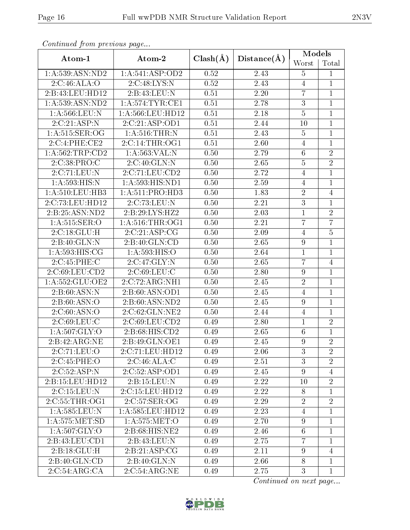| Atom-1                         | Atom-2               |                   |                   | Models           |                |  |
|--------------------------------|----------------------|-------------------|-------------------|------------------|----------------|--|
|                                |                      | $Clash(\AA)$      | Distance(A)       | Worst            | Total          |  |
| 1: A: 539: ASN: ND2            | 1: A:541: ASP:OD2    | 0.52              | 2.43              | $\overline{5}$   | 1              |  |
| 2:C:46:ALA:O                   | 2:C:48:LYS:N         | 0.52              | 2.43              | $\overline{4}$   | $\mathbf{1}$   |  |
| 2:B:43:LEU:HD12                | 2:B:43:LEU:N         | 0.51              | 2.20              | $\overline{7}$   | $\mathbf{1}$   |  |
| 1: A: 539: ASN: ND2            | 1: A:574:TYR:CE1     | $\overline{0.51}$ | $\overline{2.78}$ | $\overline{3}$   | $\mathbf{1}$   |  |
| 1:A:566:LEU:N                  | 1:A:566:LEU:HD12     | 0.51              | 2.18              | $\overline{5}$   | $\mathbf{1}$   |  |
| 2:C:21:ASP:N                   | 2:C:21:ASP:OD1       | 0.51              | 2.44              | 10               | $\mathbf{1}$   |  |
| 1:A:515:SER:OG                 | 1: A:516:THR:N       | 0.51              | 2.43              | $\bf 5$          | $\mathbf{1}$   |  |
| 2:C:4:PHE:CE2                  | 2:C:14:THR:OG1       | 0.51              | 2.60              | $\overline{4}$   | $\mathbf{1}$   |  |
| 1: A:562:TRP:CD2               | 1:A:563:VAL:N        | 0.50              | 2.79              | $\,6\,$          | $\overline{2}$ |  |
| 2:C:38:PRO:C                   | 2:C:40:GLN:N         | 0.50              | 2.65              | $\overline{5}$   | $\overline{2}$ |  |
| 2:C:71:LEU:N                   | 2:C:71:LEU:CD2       | 0.50              | 2.72              | $\overline{4}$   | $\mathbf{1}$   |  |
| 1:A:593:HIS:N                  | 1:A:593:HIS:ND1      | 0.50              | 2.59              | $\overline{4}$   | $\mathbf{1}$   |  |
| 1: A:510:LEU:HB3               | 1: A:511: PRO:HD3    | 0.50              | 1.83              | $\sqrt{2}$       | $\overline{4}$ |  |
| 2:C:73:LEU:HD12                | 2:C:73:LEU:N         | 0.50              | 2.21              | $\overline{3}$   | $\mathbf{1}$   |  |
| $2:B:25:A\overline{SN:ND2}$    | 2:B:29:LYS:HZ2       | 0.50              | 2.03              | $\mathbf{1}$     | $\overline{2}$ |  |
| 1:A:515:SER:O                  | 1: A:516:THR:OG1     | 0.50              | 2.21              | $\overline{7}$   | $\overline{7}$ |  |
| 2:C:18:GLU:H                   | 2:C:21:ASP:CG        | 0.50              | 2.09              | $\overline{4}$   | $\overline{5}$ |  |
| 2:B:40:GLN:N                   | 2:B:40:GLN:CD        |                   | 2.65              | $\boldsymbol{9}$ | $\mathbf{1}$   |  |
| 1: A:593:HIS:CG                | 1: A:593:HIS:O       | 0.50              | 2.64              | $\mathbf{1}$     | $\mathbf{1}$   |  |
| 2:C:45:PHE:C                   | 2:C:47:GLY:N         | 0.50              | 2.65              | $\overline{7}$   | $\overline{4}$ |  |
| 2:C:69:LEU:CD2                 | 2:C:69:LEU:C         | 0.50              | 2.80              | $\boldsymbol{9}$ | $\mathbf{1}$   |  |
| 1: A: 552: GLU: OE2            | 2:C:72:ARG:NH1       | 0.50              | 2.45              | $\overline{2}$   | $\mathbf{1}$   |  |
| 2: B:60: ASN:N                 | 2:B:60:ASN:OD1       | 0.50              | $\overline{2}.45$ | $\overline{4}$   | $\mathbf{1}$   |  |
| 2: B:60: ASN:O                 | 2:B:60:ASN:ND2       | 0.50              | 2.45              | $\boldsymbol{9}$ | $\mathbf{1}$   |  |
| 2:C:60:ASN:O                   | 2:C:62:GLN:NE2       | 0.50              | 2.44              | $\overline{4}$   | $\mathbf{1}$   |  |
| 2.C.69:LEU.C                   | 2:C:69:LEU:CD2       | 0.49              | 2.80              | $\mathbf{1}$     | $\overline{2}$ |  |
| 1: A: 507: GLY: O              | 2:B:68:HIS:CD2       | 0.49              | 2.65              | $\,6\,$          | $\mathbf{1}$   |  |
| 2:B:42:ARG:NE                  | 2:B:49:GLN:OE1       | 0.49              | 2.45              | $\boldsymbol{9}$ | $\overline{2}$ |  |
| 2:C:71:LEU:O                   | 2:C:71:LEU:HD12      | 0.49              | 2.06              | 3                | $\overline{2}$ |  |
| 2:C:45:PHE:O                   | 2:C:46:ALA:C         | 0.49              | 2.51              | $\overline{3}$   | $\overline{2}$ |  |
| 2:C:52:ASP:N                   | 2:C:52:ASP:OD1       | 0.49              | 2.45              | $9\phantom{.}$   | $\overline{4}$ |  |
| 2: B: 15: LEU: HD12            | 2: B: 15: LEU: N     | 0.49              | 2.22              | 10               | $\overline{2}$ |  |
| 2:C:15:LEU:N                   | 2:C:15:LEU:HD12      | 0.49              | 2.22              | 8                | $\mathbf{1}$   |  |
| 2:C:55:THR:OG1                 | 2:C:57:SER:OG        | 0.49              | 2.29              | $\sqrt{2}$       | $\overline{2}$ |  |
| 1:A:585:LEU:N                  | 1: A: 585: LEU: HD12 | 0.49              | 2.23              | 4                | $\mathbf 1$    |  |
| 1: A: 575: MET: SD             | 1: A: 575: MET:O     | 0.49              | 2.70              | $\boldsymbol{9}$ | $\mathbf{1}$   |  |
| 1: A:507: GLY:O                | 2: B:68: HIS: NE2    | 0.49              | 2.46              | $6\,$            | $\mathbf{1}$   |  |
| 2:B:43:LEU:CD1                 | 2:B:43:LEU:N         | 0.49              | 2.75              | $\overline{7}$   | $\mathbf{1}$   |  |
| 2:B:18:GLU:H                   | 2:B:21:ASP:CG        | 0.49              | 2.11              | 9                | 4              |  |
| 2:B:40:GLN:CD                  | 2:B:40:GLN:N         | 0.49              | 2.66              | $8\,$            | $\mathbf{1}$   |  |
| 2:C:54:ARG:CA<br>2:C:54:ARG:NE |                      | 0.49              | 2.75              | 3                | $\mathbf{1}$   |  |

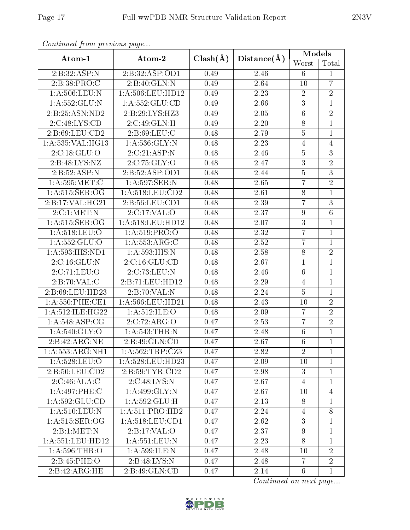| onning on from provided page   |                                                          |              |             | Models           |                 |  |
|--------------------------------|----------------------------------------------------------|--------------|-------------|------------------|-----------------|--|
| Atom-1                         | Atom-2                                                   | $Clash(\AA)$ | Distance(A) |                  | Total           |  |
| 2:B:32:ASP:N                   | 2:B:32:ASP:OD1                                           | 0.49         | 2.46        | 6                | $\mathbf{1}$    |  |
| 2:B:38:PRO:C                   | 2:B:40:GLN:N                                             | 0.49         | 2.64        | 10               | $\overline{7}$  |  |
| 1: A: 506: LEU: N              | 1:A:506:LEU:HD12                                         | 0.49         | 2.23        | $\overline{2}$   | $\overline{2}$  |  |
| 1: A: 552: GLU: N              | 1: A: 552: GLU: CD                                       | 0.49         | 2.66        | $\overline{3}$   | $\mathbf{1}$    |  |
| 2:B:25:ASN:ND2                 | 2:B:29:LYS:HZ3                                           | 0.49         | 2.05        | $\boldsymbol{6}$ | $\sqrt{2}$      |  |
| 2:C:48:LYS:CD                  | 2:C:49:GLN:H                                             | 0.49         | $2.20\,$    | 8                | $\mathbf{1}$    |  |
| 2:B:69:LEU:CD2                 | 2:B:69:LEU:C                                             | 0.48         | 2.79        | $\bf 5$          | $\mathbf{1}$    |  |
| 1:A:535:VAL:HG13               | $1:$ A:536:GLY:N                                         | 0.48         | 2.23        | $\overline{4}$   | $\overline{4}$  |  |
| 2:C:18:GLU:O                   | 2:C:21:ASP:N                                             | 0.48         | 2.46        | $\bf 5$          | $\overline{3}$  |  |
| 2:B:48:LYS:NZ                  | 2:C:75:GLY:O                                             | 0.48         | 2.47        | $\overline{3}$   | $\overline{2}$  |  |
| 2:B:52:ASP:N                   | 2: B:52: ASP:OD1                                         | 0.48         | 2.44        | $\overline{5}$   | $\overline{3}$  |  |
| 1: A:595:MET:C                 | 1:A:597:SER:N                                            | 0.48         | 2.65        | $\overline{7}$   | $\overline{2}$  |  |
| 1: A:515: SER:OG               | 1: A:518:LEU:CD2                                         | 0.48         | 2.61        | $8\,$            | $\mathbf{1}$    |  |
| 2:B:17:VAL:HG21                | 2:B:56:LEU:CD1                                           | 0.48         | 2.39        | $\overline{7}$   | $\overline{3}$  |  |
| 2:C:1:MET:N                    | 2:C:17:VAL:O                                             | 0.48         | 2.37        | $\boldsymbol{9}$ | $6\phantom{.}6$ |  |
| 1: A:515: SER:OG               | 1: A:518:LEU:HD12                                        | 0.48         | 2.07        | $\overline{3}$   | $\mathbf{1}$    |  |
| 1: A:518: LEU:O                | 1:A:519:PRO:O                                            | 0.48         | 2.32        | $\overline{7}$   | $\mathbf{1}$    |  |
| 1: A: 552: GLU:O               | 1: A: 553: ARG: C                                        | 0.48         | 2.52        | $\overline{7}$   | $\overline{1}$  |  |
| $1: A:593: \overline{HIS:ND1}$ | 1:A:593:HIS:N                                            | 0.48         | $2.58\,$    | $8\,$            | $\overline{2}$  |  |
| 2:C:16:GLU:N                   | 2:C:16:GLU:CD                                            | 0.48         | 2.67        | $\mathbf{1}$     | $\mathbf{1}$    |  |
| 2:C:71:LEU:O                   | 2:C:73:LEU:N                                             | 0.48         | 2.46        | $\,6$            | $\overline{1}$  |  |
| 2:B:70:VAL:CC                  | 2:B:71:LEU:HD12                                          | 0.48         | 2.29        | $\overline{4}$   | $\overline{1}$  |  |
| 2:B:69:LEU:HD23                | 2:B:70:VAL:N                                             | 0.48         | 2.24        | $\bf 5$          | $\mathbf{1}$    |  |
| 1:A:550:PHE:CE1                | 1:A:566:LEU:HD21                                         | 0.48         | 2.43        | 10               | $\overline{2}$  |  |
| 1:A:512:ILE:HG22               | 1: A:512: ILE: O                                         | 0.48         | 2.09        | $\overline{7}$   | $\overline{2}$  |  |
| 1: A:548: ASP:CG               | 2:C:72:ARG:O                                             | 0.47         | 2.53        | $\overline{7}$   | $\overline{2}$  |  |
| 1: A:540: GLY:O                | 1: A:543:THR:N                                           | 0.47         | 2.48        | $\,6$            | $\mathbf{1}$    |  |
| 2:B:42:ARG:NE                  | 2:B:49:GLN:CD                                            | 0.47         | 2.67        | $6\phantom{.}6$  | $\overline{1}$  |  |
| 1: A: 553: ARG: NH1            | 1: A:562:TRP: CZ3                                        | 0.47         | 2.82        | $\overline{2}$   | 1               |  |
| 1: A:528:LEU:O                 | 1:A:528:LEU:HD23                                         | 0.47         | 2.09        | 10               | $\mathbf{1}$    |  |
| 2: B:50: LEU:CD2               | 2: B:59: TYR:CD2                                         | 0.47         | 2.98        | $\boldsymbol{3}$ | $\mathbf{1}$    |  |
| 2:C:46:ALA:C                   | 2:C:48:LYS:N                                             | 0.47         | 2.67        | $\overline{4}$   | $\mathbf{1}$    |  |
| 1:A:497:PHE:C                  | $1: A:499 \cdot \overline{\text{GLY:N}}$                 | 0.47         | 2.67        | 10               | 4               |  |
| 1:A:592:GLU:CD                 | 1: A:592: GLU:H                                          | 0.47         | 2.13        | 8                | $\mathbf{1}$    |  |
| 1: A:510:LEU:N                 | 1: A:511: PRO:HD2                                        | 0.47         | 2.24        | $\overline{4}$   | 8               |  |
| 1: A:515: SER:OG               | 1: A:518:LEU:CD1                                         | 0.47         | 2.62        | 3                | $\mathbf{1}$    |  |
| 2:B:1:MET:N                    | $2:B:17:\overline{VAL:O}$                                | 0.47         | 2.37        | $\overline{9}$   | $\mathbf{1}$    |  |
| 1:A:551:LEU:HD12               | $1: A:551:\overline{\textrm{LEU}}:\overline{\textrm{N}}$ | 0.47         | 2.23        | 8                | $\mathbf{1}$    |  |
| 1: A:596:THR:O                 | 1:A:599:ILE:N                                            | 0.47         | 2.48        | 10               | $\overline{2}$  |  |
| 2: B:45: PHE:O                 | 2:B:48:LYS:N                                             | 0.47         | 2.48        | $\overline{7}$   | $\overline{2}$  |  |
| 2:B:42:ARG:HE                  | 2:B:49:GLN:CD                                            |              | 2.14        | $6\phantom{.}6$  | $\mathbf{1}$    |  |

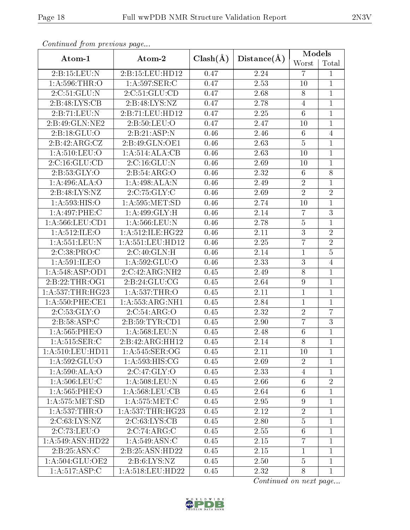| onning on proctowe page |                            |              |             | Models          |                |  |
|-------------------------|----------------------------|--------------|-------------|-----------------|----------------|--|
| Atom-1                  | Atom-2                     | $Clash(\AA)$ | Distance(A) |                 | Total          |  |
| 2:B:15:LEU:N            | 2:B:15:LEU:HD12            | 0.47         | 2.24        | $\overline{7}$  | $\mathbf{1}$   |  |
| 1: A:596:THR:O          | 1: A:597: SER: C           | 0.47         | 2.53        | 10              | $\mathbf{1}$   |  |
| 2:C:51:GLU:N            | 2:C:51:GLU:CD              | 0.47         | 2.68        | $8\,$           | $\overline{1}$ |  |
| 2:B:48:LYS:CB           | 2:B:48:LYS:NZ              | 0.47         | 2.78        | $\overline{4}$  | $\mathbf{1}$   |  |
| 2:B:71:LEU:N            | 2:B:71:LEU:HD12            | 0.47         | 2.25        | $\sqrt{6}$      | $\mathbf{1}$   |  |
| 2:B:49:GLN:NE2          | 2: B:50: LEU:O             | 0.47         | 2.47        | 10              | $\mathbf{1}$   |  |
| 2:B:18:GLU:O            | 2:B:21:ASP:N               | 0.46         | 2.46        | $6\phantom{.}6$ | $\overline{4}$ |  |
| 2:B:42:ARG:CZ           | 2:B:49:GLN:OE1             | 0.46         | 2.63        | $\bf 5$         | $\mathbf{1}$   |  |
| 1:A:510:LEU:O           | 1:A:514:ALA:CB             | 0.46         | 2.63        | 10              | $\mathbf{1}$   |  |
| 2:C:16:GLU:CD           | 2:C:16:GLU:N               | 0.46         | 2.69        | 10              | $\mathbf{1}$   |  |
| 2: B: 53: GLY: O        | 2:B:54:ARG:O               | 0.46         | 2.32        | $6\phantom{.}6$ | $\overline{8}$ |  |
| 1:A:496:ALA:O           | 1:A:498:ALA:N              | 0.46         | 2.49        | $\sqrt{2}$      | $\mathbf{1}$   |  |
| 2:B:48:LYS:NZ           | 2:C:75:GLY:C               | 0.46         | 2.69        | $\overline{2}$  | $\overline{2}$ |  |
| 1: A:593:HIS:O          | 1: A:595: MET:SD           | 0.46         | 2.74        | 10              | $\mathbf{1}$   |  |
| 1:A:497:PHE:C           | 1:A:499:GLY:H              | 0.46         | 2.14        | $\overline{7}$  | 3              |  |
| 1: A:566:LEU:CD1        | 1: A:566:LEU: N            | 0.46         | 2.78        | $\bf 5$         | $\mathbf{1}$   |  |
| 1:A:512:ILE:O           | 1:A:512:ILE:HG22           | 0.46         | 2.11        | $\overline{3}$  | $\overline{2}$ |  |
| 1: A: 551: LEU: N       | 1: A: 551: LEU: HD12       | 0.46         | 2.25        | $\overline{7}$  | $\overline{2}$ |  |
| 2:C:38:PRO:C            | 2:C:40:GLN:H               | 0.46         | 2.14        | $\mathbf{1}$    | $\overline{5}$ |  |
| 1:A:591:ILE:O           | 1: A: 592: GLU:O           | 0.46         | 2.33        | $\mathbf{3}$    | $\overline{4}$ |  |
| 1: A:548: ASP:OD1       | 2:C:42:ARG:NH2             | 0.45         | 2.49        | 8               | $\mathbf{1}$   |  |
| 2:B:22:THR:OG1          | 2:B:24:GLU:CG              | 0.45         | 2.64        | $\overline{9}$  | $\overline{1}$ |  |
| 1:A:537:THR:HG23        | 1:A:537:THR:O              | 0.45         | 2.11        | $\mathbf{1}$    | $\mathbf{1}$   |  |
| 1:A:550:PHE:CE1         | 1: A: 553: ARG: NH1        | 0.45         | 2.84        | $\mathbf{1}$    | $\overline{1}$ |  |
| 2:C:53:GLY:O            | 2:C:54:ARG:O               | 0.45         | 2.32        | $\sqrt{2}$      | $\overline{7}$ |  |
| 2: B:58: ASP:C          | 2:B:59:TYR:CD1             | 0.45         | 2.90        | $\overline{7}$  | $\overline{3}$ |  |
| 1:A:565:PHE:O           | 1:A:568:LEU:N              | 0.45         | 2.48        | $\,6$           | $\mathbf{1}$   |  |
| 1: A:515: SER: C        | 2:B:42:ARG:HH12            | 0.45         | 2.14        | $\overline{8}$  | $\overline{1}$ |  |
| 1: A:510:LEU:HD11       | 1: A:545: SER:OG           | 0.45         | 2.11        | 10              | $\mathbf{1}$   |  |
| 1:A:592:GLU:O           | 1: A:593: HIS: CG          | 0.45         | 2.69        | $\overline{2}$  | $\mathbf{1}$   |  |
| 1:A:590:ALA:O           | 2:C:47:GLY:O               | 0.45         | 2.33        | $\overline{4}$  | $\mathbf{1}$   |  |
| 1: A:506:LEU:C          | 1: A:508:LEU:N             | 0.45         | 2.66        | $6\phantom{.}6$ | $\overline{2}$ |  |
| $1: A:565:$ PHE:O       | $1: A: 568: \text{LEU:CB}$ | 0.45         | 2.64        | $6\phantom{.}6$ | $\mathbf{1}$   |  |
| 1: A: 575: MET: SD      | 1: A: 575: MET: C          | 0.45         | 2.95        | 9               | $\mathbf{1}$   |  |
| 1: A: 537: THR:O        | 1: A: 537:THR: HG23        | 0.45         | 2.12        | $\sqrt{2}$      | $\mathbf{1}$   |  |
| 2:C:63:LYS:NZ           | 2:C:63:LYS:CB              | 0.45         | 2.80        | $\overline{5}$  | $\mathbf{1}$   |  |
| 2:C:73:LEU:O            | 2:C:74:ARG:C               | 0.45         | 2.55        | $\sqrt{6}$      | $\mathbf{1}$   |  |
| 1:A:549:ASN:HD22        | 1:A:549:ASN:C              | 0.45         | 2.15        | $\overline{7}$  | $\mathbf{1}$   |  |
| 2:B:25:ASN:C            | 2:B:25:ASN:HD22            | 0.45         | 2.15        | $\mathbf{1}$    | $\mathbf{1}$   |  |
| 1:A:504:GLU:OE2         | 2: B:6: LYS: NZ            | 0.45         | 2.50        | $\overline{5}$  | $\mathbf 1$    |  |
| 1:A:517:ASP:C           | 1:A:518:LEU:HD22           |              | 2.32        | 8               | $\mathbf{1}$   |  |

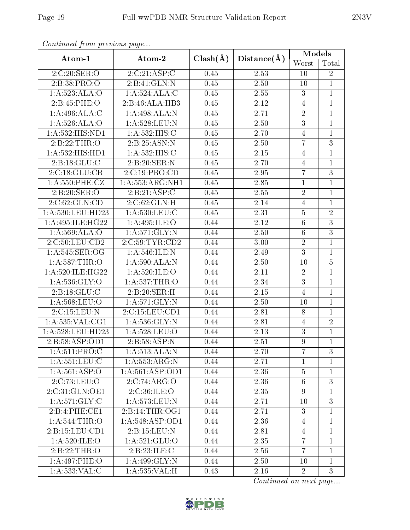|                     |                    |              | Models      |                  |                |
|---------------------|--------------------|--------------|-------------|------------------|----------------|
| Atom-1              | Atom-2             | $Clash(\AA)$ | Distance(A) | Worst            | Total          |
| 2:C:20:SER:O        | 2:C:21:ASP:C       | 0.45         | 2.53        | 10               | $\overline{2}$ |
| 2:B:38:PRO:O        | 2:B:41:GLN:N       | 0.45         | 2.50        | $10\,$           | $\mathbf{1}$   |
| 1: A:523:ALA:O      | 1:A:524:ALA:C      | 0.45         | 2.55        | 3                | $\mathbf{1}$   |
| 2:B:45:PHE:O        | 2:B:46:ALA:HB3     | 0.45         | 2.12        | $\overline{4}$   | $\mathbf{1}$   |
| 1:A:496:ALA:C       | 1:A:498:ALA:N      | 0.45         | 2.71        | $\sqrt{2}$       | $\mathbf{1}$   |
| 1: A:526: ALA:O     | 1:A:528:LEU:N      | 0.45         | 2.50        | $\overline{3}$   | $\mathbf{1}$   |
| 1:A:532:HIS:ND1     | 1: A: 532: HIS:C   | 0.45         | 2.70        | $\overline{4}$   | $\mathbf{1}$   |
| 2:B:22:THR:O        | 2:B:25:ASN:N       | 0.45         | 2.50        | $\overline{7}$   | 3              |
| 1:A:532:HIS:HD1     | 1:A:532:HIS:C      | 0.45         | 2.15        | $\overline{4}$   | $\mathbf{1}$   |
| 2:B:18:GLU:C        | 2:B:20:SER:N       | 0.45         | 2.70        | $\overline{4}$   | $\mathbf{1}$   |
| 2:C:18:GLU:CB       | 2:C:19:PRO:CD      | 0.45         | 2.95        | $\overline{7}$   | 3              |
| 1:A:550:PHE:CZ      | 1:A:553:ARG:NH1    | 0.45         | 2.85        | $\,1$            | $\mathbf 1$    |
| 2:B:20:SER:O        | 2:B:21:ASP:C       | 0.45         | 2.55        | $\sqrt{2}$       | $\mathbf{1}$   |
| 2:C:62:GLN:CD       | 2:C:62:GLN:H       | 0.45         | 2.14        | $\overline{4}$   | $\overline{1}$ |
| 1:A:530:LEU:HD23    | 1:A:530:LEU:C      | 0.45         | 2.31        | $\bf 5$          | $\overline{2}$ |
| 1:A:495:ILE:HG22    | 1:A:495:ILE:O      | 0.44         | 2.12        | $\overline{6}$   | $\overline{3}$ |
| 1: A:569: ALA:O     | 1:A:571:GLY:N      | 0.44         | 2.50        | $\,6\,$          | $\overline{3}$ |
| 2:C:50:LEU:CD2      | 2:C:59:TYR:CD2     | 0.44         | 3.00        | $\overline{2}$   | $\mathbf{1}$   |
| 1: A:545: SER:OG    | 1:A:546:ILE:N      | 0.44         | 2.49        | $\overline{3}$   | $\mathbf{1}$   |
| 1: A:587:THR:O      | 1: A:590:ALA:N     | 0.44         | 2.50        | $10\,$           | $\overline{5}$ |
| 1:A:520:ILE:HG22    | 1: A:520: ILE: O   | 0.44         | 2.11        | $\sqrt{2}$       | $\mathbf{1}$   |
| 1:A:536:GLY:O       | 1:A:537:THR:O      | 0.44         | 2.34        | $\overline{3}$   | $\mathbf{1}$   |
| 2:B:18:GLU:C        | 2:B:20:SER:H       | 0.44         | 2.15        | $\overline{4}$   | $\mathbf{1}$   |
| 1:A:568:LEU:O       | 1:A:571:GLY:N      | 0.44         | 2.50        | 10               | $\mathbf{1}$   |
| 2:C:15:LEU:N        | 2: C: 15: LEU: CD1 | 0.44         | 2.81        | $8\,$            | $\mathbf{1}$   |
| 1: A: 535: VAL: CG1 | 1: A: 536: GLY:N   | 0.44         | 2.81        | $\overline{4}$   | $\overline{2}$ |
| 1:A:528:LEU:HD23    | 1:A:528:LEU:O      | 0.44         | 2.13        | $\overline{3}$   | $\mathbf{1}$   |
| 2:B:58:ASP:OD1      | 2:B:58:ASP:N       | 0.44         | 2.51        | $\overline{9}$   | $\mathbf{1}$   |
| 1: A:511: PRO:C     | 1: A:513:ALA:N     | 0.44         | 2.70        | 7                | 3              |
| 1:A:551:LEU:C       | 1: A: 553: ARG: N  | 0.44         | 2.71        | 1                | 1              |
| 1: A:561:ASP:O      | 1: A:561: ASP:OD1  | 0.44         | 2.36        | $\bf 5$          | $\mathbf{1}$   |
| 2:C:73:LEU:O        | 2:C:74:ARG:O       | 0.44         | 2.36        | $6\phantom{.}6$  | 3              |
| 2:C:31:GLN:OE1      | 2:C:36:ILE:O       | 0.44         | 2.35        | $\boldsymbol{9}$ | $\mathbf{1}$   |
| 1: A:571: GLY: C    | 1: A:573:LEU:N     | 0.44         | 2.71        | 10               | 3              |
| 2:B:4:PHE:CE1       | 2:B:14:THR:OG1     | 0.44         | 2.71        | $\overline{3}$   | $\mathbf{1}$   |
| 1:A:544:THR:O       | 1: A:548: ASP:OD1  | 0.44         | 2.36        | $\overline{4}$   | $\mathbf{1}$   |
| 2:B:15:LEU:CD1      | 2:B:15:LEU:N       | 0.44         | 2.81        | 4                | $\mathbf{1}$   |
| 1: A:520: ILE:O     | 1: A:521: GLU:O    | 0.44         | 2.35        | 7                | 1              |
| 2: B: 22: THR:O     | 2:B:23:ILE:C       | 0.44         | 2.56        | $\overline{7}$   | $\mathbf{1}$   |
| 1:A:497:PHE:O       | 1:A:499:GLY:N      | 0.44         | 2.50        | 10               | $\mathbf{1}$   |
| 1:A:533:VAL:C       | 1: A: 535: VAL:H   | 0.43         | 2.16        | $\overline{2}$   | 3              |

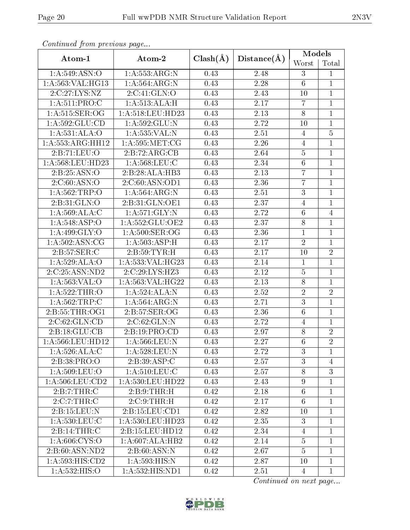| Continuum from protious page |                                |              |             | Models          |                  |  |
|------------------------------|--------------------------------|--------------|-------------|-----------------|------------------|--|
| Atom-1                       | Atom-2                         | $Clash(\AA)$ | Distance(A) | Worst           | Total            |  |
| 1:A:549:ASN:O                | 1:A:553:ARG:N                  | 0.43         | 2.48        | 3               | $\mathbf{1}$     |  |
| 1:A:563:VAL:HG13             | 1:A:564:ARG:N                  | 0.43         | 2.28        | $6\,$           | $\mathbf{1}$     |  |
| 2:C:27:LYS:NZ                | 2:C:41:GLN:O                   | 0.43         | 2.43        | 10              | $\mathbf{1}$     |  |
| 1: A:511: PRO:C              | 1: A:513:ALA:H                 | 0.43         | 2.17        | $\overline{7}$  | $\mathbf{1}$     |  |
| 1: A:515: SER:OG             | 1:A:518:LEU:HD23               | 0.43         | 2.13        | $8\,$           | $\mathbf{1}$     |  |
| $1:$ A:592:GLU:CD            | $1: A: 592: \overline{GLU: N}$ | 0.43         | 2.72        | 10              | $\mathbf 1$      |  |
| 1:A:531:ALA:O                | 1:A:535:VAL:N                  | 0.43         | 2.51        | $\overline{4}$  | $\overline{5}$   |  |
| 1:A:553:ARG:HH12             | 1: A:595: MET:CG               | 0.43         | 2.26        | $\overline{4}$  | $\mathbf{1}$     |  |
| 2:B:71:LEU:O                 | 2:B:72:ARG:CB                  | 0.43         | 2.64        | $\overline{5}$  | $\overline{1}$   |  |
| 1:A:568:LEU:HD23             | 1: A: 568: LEU: C              | 0.43         | 2.34        | $\,6\,$         | $\mathbf 1$      |  |
| 2:B:25:ASN:O                 | 2:B:28:ALA:HB3                 | 0.43         | 2.13        | $\overline{7}$  | $\mathbf{1}$     |  |
| 2:C:60:ASN:O                 | 2:C:60:ASN:OD1                 | 0.43         | 2.36        | $\overline{7}$  | $\mathbf{1}$     |  |
| 1: A: 562: TRP:O             | 1:A:564:ARG:N                  | 0.43         | 2.51        | 3               | $\overline{1}$   |  |
| 2:B:31:GLN:O                 | 2:B:31:GLN:OE1                 | 0.43         | 2.37        | $\overline{4}$  | $\mathbf{1}$     |  |
| 1:A:569:ALA:C                | 1:A:571:GLY:N                  | 0.43         | 2.72        | $6\,$           | $\overline{4}$   |  |
| 1: A:548: ASP:O              | 1: A: 552: GLU: OE2            | 0.43         | 2.37        | $8\,$           | $\mathbf{1}$     |  |
| 1: A:499: GLY:O              | 1: A:500: SER:OG               | 0.43         | 2.36        | $\mathbf{1}$    | $\mathbf{1}$     |  |
| 1: A:502: ASN: CG            | 1:A:503:ASP:H                  | 0.43         | 2.17        | $\sqrt{2}$      | $\overline{1}$   |  |
| 2:B:57:SER:C                 | 2: B:59: TYR:H                 | 0.43         | 2.17        | 10              | $\overline{2}$   |  |
| 1:A:529:ALA:O                | 1:A:533:VAL:HG23               | 0.43         | 2.14        | $\mathbf{1}$    | $\mathbf{1}$     |  |
| 2:C:25:ASN:ND2               | 2:C:29:LYS:HZ3                 | 0.43         | 2.12        | $\bf 5$         | $\mathbf{1}$     |  |
| 1: A: 563: VAL: O            | 1:A:563:VAL:HG22               | 0.43         | 2.13        | $8\,$           | $\mathbf{1}$     |  |
| 1:A:522:THR:O                | 1:A:524:ALA:N                  | 0.43         | 2.52        | $\overline{2}$  | $\overline{2}$   |  |
| 1: A: 562: TRP: C            | 1: A:564:ARG:N                 | 0.43         | 2.71        | 3               | $\mathbf{1}$     |  |
| 2:B:55:THR:OG1               | 2:B:57:SER:OG                  | 0.43         | 2.36        | $\,6$           | $\mathbf{1}$     |  |
| 2:C:62:GLN:CD                | 2:C:62:GLN:N                   | 0.43         | 2.72        | $\overline{4}$  | $\mathbf{1}$     |  |
| 2:B:18:GLU:CB                | 2:B:19:PRO:CD                  | 0.43         | 2.97        | $8\,$           | $\sqrt{2}$       |  |
| 1:A:566:LEU:HD12             | 1: A: 566: LEU: N              | 0.43         | 2.27        | $\overline{6}$  | $\overline{2}$   |  |
| 1: A:526:ALA:C               | 1:A:528:LEU:N                  | 0.43         | 2.72        | 3               | 1                |  |
| 2:B:38:PRO:O                 | 2:B:39:ASP:C                   | 0.43         | 2.57        | 3               | $\overline{4}$   |  |
| 1: A:509:LEU:O               | 1: A:510:LEU:C                 | 0.43         | 2.57        | $8\,$           | $\boldsymbol{3}$ |  |
| $1: A:506:$ LEU: $CD2$       | 1: A: 530: LEU: HD22           | 0.43         | 2.43        | $9\phantom{.}$  | $\mathbf{1}$     |  |
| 2:B:7:THR:C                  | 2: B: 9: THR:H                 | 0.42         | 2.18        | $6\,$           | $\mathbf{1}$     |  |
| $2:C:7:THR:\overline{C}$     | 2:C:9:THR:H                    | 0.42         | 2.17        | $6\phantom{.}6$ | $\mathbf 1$      |  |
| 2:B:15:LEU:N                 | 2: B: 15: LEU: CD1             | 0.42         | 2.82        | 10              | $\mathbf{1}$     |  |
| $1: A:530:$ LEU:C            | 1: A: 530: LEU: HD23           | 0.42         | 2.35        | 3               | $\mathbf{1}$     |  |
| 2:B:14:THR:C                 | 2:B:15:LEU:HD12                | 0.42         | 2.34        | $\overline{4}$  | $\mathbf{1}$     |  |
| 1: A:606: CYS:O              | $1:A:607:ALA:H\overline{B2}$   | 0.42         | 2.14        | $\overline{5}$  | 1                |  |
| 2:B:60:ASN:ND2               | 2: B:60: ASN:N                 | 0.42         | 2.67        | $\overline{5}$  | $\mathbf{1}$     |  |
| 1:A:593:HIS:CD2              | 1:A:593:HIS:N                  | 0.42         | 2.87        | 10              | $\mathbf{1}$     |  |
| 1:A:532:HIS:O                | 1:A:532:HIS:ND1                |              | 2.51        | $\overline{4}$  | $\mathbf{1}$     |  |

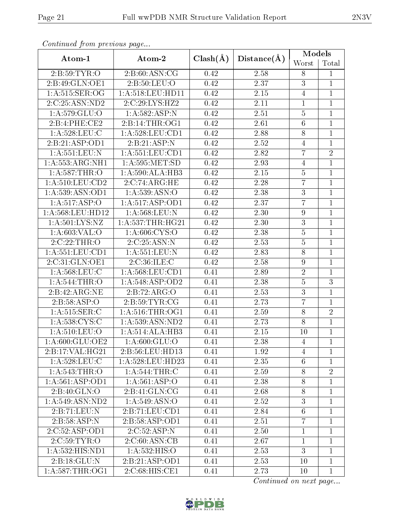|                     | Atom-2                     |              |                   | Models           |                |
|---------------------|----------------------------|--------------|-------------------|------------------|----------------|
| Atom-1              |                            | $Clash(\AA)$ | Distance(A)       | Worst            | Total          |
| 2:B:59:TYR:O        | 2: B:60: ASN: CG           | 0.42         | 2.58              | $8\,$            | $\mathbf{1}$   |
| 2:B:49:GLN:OE1      | 2:B:50:LEU:O               | 0.42         | $2.37\,$          | $\boldsymbol{3}$ | $\mathbf{1}$   |
| 1: A:515: SER:OG    | 1:A:518:LEU:HD11           | 0.42         | 2.15              | $\overline{4}$   | $\mathbf{1}$   |
| 2:C:25:ASN:ND2      | 2:C:29:LYS:HZ2             | 0.42         | 2.11              | $\mathbf{1}$     | $\mathbf{1}$   |
| 1: A:579: GLU:O     | 1:A:582:ASP:N              | 0.42         | 2.51              | $\bf 5$          | $\mathbf{1}$   |
| 2:B:4:PHE:CE2       | 2:B:14:THR:OG1             | 0.42         | 2.61              | $\overline{6}$   | $\overline{1}$ |
| 1:A:528:LEU:C       | 1:A:528:LEU:CD1            | 0.42         | 2.88              | $8\,$            | $\mathbf{1}$   |
| 2:B:21:ASP:OD1      | 2:B:21:ASP:N               | 0.42         | $2.52\,$          | $\overline{4}$   | $\mathbf{1}$   |
| 1:A:551:LEU:N       | 1: A: 551: LEU: CD1        | 0.42         | 2.82              | $\overline{7}$   | $\sqrt{2}$     |
| 1:A:553:ARG:NH1     | 1: A: 595: MET: SD         | 0.42         | $2.93\,$          | $\overline{4}$   | $\overline{1}$ |
| 1:A:587:THR:O       | 1:A:590:ALA:HB3            | 0.42         | $2.15\,$          | $\bf 5$          | $\mathbf{1}$   |
| 1:A:510:LEU:CD2     | 2:C:74:ARG:HE              | 0.42         | 2.28              | $\overline{7}$   | $\mathbf{1}$   |
| 1: A: 539: ASN: OD1 | 1: A: 539: ASN: O          | 0.42         | 2.38              | $\sqrt{3}$       | $\mathbf 1$    |
| 1: A:517: ASP:O     | 1: A:517: ASP:OD1          | 0.42         | 2.37              | $\overline{7}$   | $\mathbf{1}$   |
| 1:A:568:LEU:HD12    | 1:A:568:LEU:N              | 0.42         | 2.30              | $\boldsymbol{9}$ | $\mathbf{1}$   |
| 1: A:501:LYS:NZ     | 1: A: 537: THR: HG21       | 0.42         | 2.30              | $\overline{3}$   | $\mathbf{1}$   |
| 1: A:603: VAL:O     | 1: A:606: CYS:O            | 0.42         | 2.38              | $\overline{5}$   | $\mathbf 1$    |
| 2:C:22:THR:O        | 2:C:25:ASN:N               | 0.42         | 2.53              | $\overline{5}$   | $\mathbf{1}$   |
| 1: A: 551: LEU: CD1 | 1:A:551:LEU:N              | 0.42         | 2.83              | $\overline{8}$   | $\mathbf{1}$   |
| 2:C:31:GLN:OE1      | 2:C:36:ILE:C               | 0.42         | 2.58              | $\boldsymbol{9}$ | $\mathbf{1}$   |
| 1: A:568:LEU:C      | 1: A: 568: LEU: CD1        | 0.41         | 2.89              | $\sqrt{2}$       | $\mathbf{1}$   |
| 1: A:544:THR:O      | 1: A:548: ASP:OD2          | 0.41         | 2.38              | $\bf 5$          | $\mathfrak{Z}$ |
| 2:B:42:ARG:NE       | 2:B:72:ARG:O               | 0.41         | 2.53              | $\overline{3}$   | $\mathbf{1}$   |
| 2:B:58:ASP:O        | 2:B:59:TYR:CG              | 0.41         | 2.73              | $\overline{7}$   | $\mathbf{1}$   |
| 1: A: 515: SER: C   | 1: A:516:THR:OG1           | 0.41         | $\overline{2}.59$ | $8\,$            | $\overline{2}$ |
| 1: A: 538: CYS: C   | 1:A:539:ASN:ND2            | 0.41         | 2.73              | $\overline{8}$   | $\mathbf{1}$   |
| 1:A:510:LEU:O       | 1:A:514:ALA:HB3            | 0.41         | 2.15              | 10               | $\mathbf{1}$   |
| 1:A:600:GLU:OE2     | 1: A:600: GLU:O            | 0.41         | 2.38              | $\overline{4}$   | $\mathbf{1}$   |
| 2:B:17:VAL:HG21     | 2:B:56:LEU:HD13            | 0.41         | 1.92              | 4                | $\mathbf{1}$   |
| 1: A:528:LEU:C      | 1: A:528:LEU:HD23          | 0.41         | 2.35              | 6                | 1              |
| 1: A:543:THR:O      | 1: A:544:THR:C             | 0.41         | 2.59              | $8\,$            | $\overline{2}$ |
| 1: A:561: ASP:OD1   | 1: A:561:ASP:O             | 0.41         | 2.38              | $8\,$            | 1              |
| 2: B:40: GLN:O      | 2:B:41:GLN:CG              | 0.41         | 2.68              | $8\,$            | $\mathbf{1}$   |
| 1: A:549: ASN:ND2   | 1:A:549:ASN:O              | 0.41         | 2.52              | 3                | $\mathbf{1}$   |
| 2:B:71:LEU:N        | 2:B:71:LEU:CD1             | 0.41         | 2.84              | $6\phantom{.}6$  | $\mathbf{1}$   |
| 2:B:58:ASP:N        | 2:B:58:ASP:OD1             | 0.41         | 2.51              | $\overline{7}$   | 1              |
| 2:C:52:ASP:OD1      | 2:C:52:ASP:N               | 0.41         | 2.50              | $\mathbf{1}$     | $\mathbf{1}$   |
| 2:C:59:TYR:O        | $2:C:60:AS\overline{N:C}B$ | 0.41         | 2.67              | $\mathbf{1}$     | $\mathbf{1}$   |
| 1:A:532:HIS:ND1     | 1: A: 532: HIS: O          | 0.41         | 2.53              | 3                | $\mathbf{1}$   |
| 2:B:18:GLU:N        | 2:B:21:ASP:OD1             | 0.41         | 2.53              | 10               | 1              |
| 1: A:587:THR:OG1    | 2:C:68:HIS:CE1             | 0.41         | 2.73              | 10               | $\mathbf{1}$   |

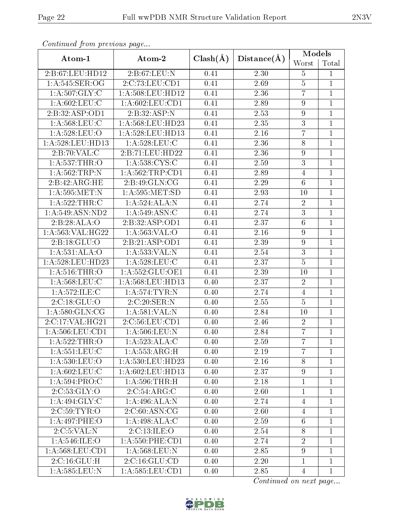|                                  |                                      |              |             | Models           |                |
|----------------------------------|--------------------------------------|--------------|-------------|------------------|----------------|
| Atom-1                           | Atom-2                               | $Clash(\AA)$ | Distance(A) | Worst            | Total          |
| 2:B:67:LEU:HD12                  | 2:B:67:LEU:N                         |              | 2.30        | $\overline{5}$   | $\mathbf{1}$   |
| 1: A:545: SER:OG                 | 2:C:73:LEU:CD1                       |              | 2.69        | $\bf 5$          | $\mathbf{1}$   |
| 1: A:507: GLY: C                 | $1:\overline{A}:508:\text{LEU}:HD12$ | 0.41         | 2.36        | $\overline{7}$   | $\mathbf{1}$   |
| 1: A:602:LEU:C                   | 1: A:602:LEU:CD1                     | 0.41         | 2.89        | $\boldsymbol{9}$ | $\overline{1}$ |
| 2:B:32:ASP:OD1                   | 2:B:32:ASP:N                         | 0.41         | 2.53        | $\boldsymbol{9}$ | $\overline{1}$ |
| 1: A:568:LEU:C                   | 1:A:568:LEU:HD23                     | 0.41         | 2.35        | $\overline{3}$   | $\overline{1}$ |
| 1:A:528:LEU:O                    | 1:A:528:LEU:HD13                     | 0.41         | $2.16\,$    | $\overline{7}$   | $\overline{1}$ |
| 1: A:528:LEU:HD13                | 1: A:528:LEU:C                       | 0.41         | 2.36        | $8\,$            | $\mathbf{1}$   |
| 2:B:70:VAL:CC                    | 2:B:71:LEU:HD22                      | 0.41         | 2.36        | $\boldsymbol{9}$ | $\mathbf{1}$   |
| 1:A:537:THR:O                    | 1: A: 538: CYS: C                    | 0.41         | $2.59\,$    | 3                | $\overline{1}$ |
| 1:A:562:TRP:N                    | 1: A:562:TRP:CD1                     | 0.41         | 2.89        | $\overline{4}$   | $\overline{1}$ |
| 2:B:42:ARG:HE                    | 2:B:49:GLN:CG                        | 0.41         | 2.29        | $\,6\,$          | $\mathbf{1}$   |
| 1: A: 595: MET: N                | 1: A: 595: MET: SD                   | 0.41         | 2.93        | 10               | $\mathbf{1}$   |
| 1:A:522:THR:C                    | 1:A:524:ALA:N                        | 0.41         | 2.74        | $\sqrt{2}$       | $\mathbf{1}$   |
| 1: A:549: ASN:ND2                | 1: A:549: ASN: C                     | 0.41         | 2.74        | $\sqrt{3}$       | $\mathbf{1}$   |
| 2:B:28:ALA:O                     | 2:B:32:ASP:OD1                       | 0.41         | 2.37        | $\overline{6}$   | $\overline{1}$ |
| 1: A: 563: VAL: HG22             | 1:A:563:VAL:O                        | 0.41         | 2.16        | $\boldsymbol{9}$ | $\mathbf{1}$   |
| 2:B:18:GLU:O                     | 2: B:21:ASP:OD1                      | 0.41         | 2.39        | $\boldsymbol{9}$ | $\overline{1}$ |
| 1:A:531:ALA:O                    | 1:A:533:VAL:N                        | 0.41         | 2.54        | $\overline{3}$   | $\mathbf{1}$   |
| 1:A:528:LEU:HD23                 | 1: A:528:LEU:C                       | 0.41         | 2.37        | $\overline{5}$   | $\overline{1}$ |
| 1:A:516:THR:O                    | 1: A: 552: GLU: OE1                  | 0.41         | 2.39        | 10               | $\mathbf{1}$   |
| 1: A:568:LEU:C                   | 1:A:568:LEU:HD13                     | 0.40         | 2.37        | $\sqrt{2}$       | $\mathbf{1}$   |
| 1:A:572:ILE:C                    | 1:A:574:TYR:N                        | 0.40         | 2.74        | $\overline{4}$   | $\mathbf{1}$   |
| 2:C:18:GLU:O                     | 2:C:20:SER:N                         | 0.40         | 2.55        | $\overline{5}$   | $\overline{1}$ |
| 1: A:580: GLN:CG                 | 1: A:581:VAL: N                      | 0.40         | 2.84        | 10               | $\mathbf{1}$   |
| 2:C:17:VAL:HG21                  | 2:C:56:LEU:CD1                       | 0.40         | 2.46        | $\overline{2}$   | $\mathbf{1}$   |
| 1: A:506:LEU:CD1                 | 1: A:506:LEU: N                      | 0.40         | 2.84        | $\overline{7}$   | $\mathbf{1}$   |
| 1:A:522:THR:O                    | 1:A:523:ALA:C                        | 0.40         | 2.59        | $\overline{7}$   | $\mathbf{1}$   |
| 1: A: 551: LEU: C                | 1: A: 553: ARG:H                     | 0.40         | 2.19        | 7                | $\mathbf{1}$   |
| 1:A:530:LEU:O                    | 1:A:530:LEU:HD23                     | 0.40         | $2.16\,$    | 8                | 1              |
| 1: A:602:LEU:C                   | 1: A:602:LEU:HD13                    | 0.40         | 2.37        | $\boldsymbol{9}$ | 1              |
| 1:A:594:PRO:C                    | $1: A:596:THR:\overline{H}$          | 0.40         | 2.18        | $\mathbf 1$      | 1              |
| 2:C:53:GLY:O                     | 2:C:54:ARG:C                         | 0.40         | 2.60        | $\mathbf{1}$     | 1              |
| 1:A:494:GLY:C                    | 1:A:496:ALA:N                        | 0.40         | 2.74        | $\overline{4}$   | 1              |
| 2:C:59:TYR:O                     | 2:C:60:ASN:CG                        | 0.40         | 2.60        | $\overline{4}$   | $\overline{1}$ |
| 1:A:497:PHE:O                    | 1:A:498:ALA:C                        | 0.40         | 2.59        | $6\,$            | 1              |
| 2:C:5:VAL:N                      | 2:C:13:ILE:O                         | 0.40         | 2.54        | $8\,$            | $\overline{1}$ |
| 1: A:546: ILE: O                 | $1: A:550:$ PHE:CD1                  | 0.40         | 2.74        | $\overline{2}$   | 1              |
| 1:A:568:LEU:CD1                  | 1: A:568:LEU: N                      | 0.40         | 2.85        | $\boldsymbol{9}$ | $\overline{1}$ |
| $2:C:16:\overline{\text{GLU:H}}$ | 2:C:16:GLU:CD                        | 0.40         | 2.20        | $\mathbf 1$      | $\mathbf 1$    |
| 1:A:585:LEU:N                    | 1: A: 585: LEU: CD1                  |              | 2.85        | $\overline{4}$   | $\overline{1}$ |

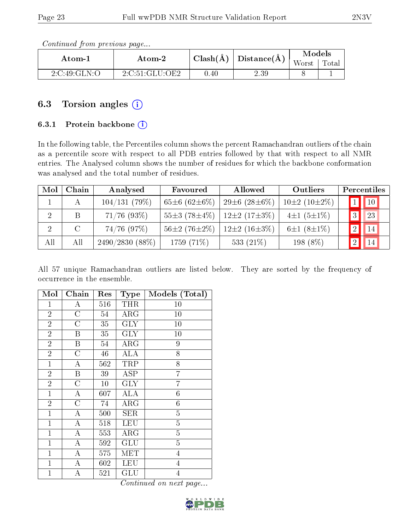Continued from previous page...

| Atom-1       | Atom-2         |          | $\top \mathrm{Clash}(\AA) \mid \mathrm{Distance}(\AA) \perp$ | Models |       |
|--------------|----------------|----------|--------------------------------------------------------------|--------|-------|
|              |                |          |                                                              | Worst  | Total |
| 2:C:49:GLN:O | 2:C:51:GLU:OE2 | $0.40\,$ | 2.39                                                         |        |       |

# 6.3 Torsion angles  $(i)$

## 6.3.1 Protein backbone (i)

In the following table, the Percentiles column shows the percent Ramachandran outliers of the chain as a percentile score with respect to all PDB entries followed by that with respect to all NMR entries. The Analysed column shows the number of residues for which the backbone conformation was analysed and the total number of residues.

| Mol | Chain   | Analysed       | Allowed<br>Favoured      |                           | <b>Outliers</b>    |              | Percentiles    |
|-----|---------|----------------|--------------------------|---------------------------|--------------------|--------------|----------------|
|     | А       | 104/131(79%)   | 65 $\pm$ 6 (62 $\pm$ 6%) | $29\pm 6$ (28 $\pm 6\%$ ) | $10\pm2(10\pm2\%)$ |              | $1$   $10$     |
| 2   | B       | $71/76$ (93%)  | $55\pm3(78\pm4\%)$       | $12\pm2(17\pm3\%)$        | $4\pm1(5\pm1\%)$   | $\mathbf{Q}$ | 23             |
|     | $\rm C$ | $74/76$ (97%)  | $56\pm2(76\pm2\%)$       | $12\pm2(16\pm3\%)$        | $6\pm1(8\pm1\%)$   | 2            | $\parallel$ 14 |
| All | All     | 2490/2830(88%) | 1759 (71%)               | 533 $(21\%)$              | 198 (8%)           |              | 14             |

All 57 unique Ramachandran outliers are listed below. They are sorted by the frequency of occurrence in the ensemble.

| Mol            | Chain              | Res    | <b>Type</b>          | Models (Total)   |
|----------------|--------------------|--------|----------------------|------------------|
| $\mathbf{1}$   | А                  | 516    | <b>THR</b>           | 10               |
| $\overline{2}$ | $\overline{C}$     | 54     | $\rm{ARG}$           | 10               |
| $\overline{2}$ | $\overline{C}$     | 35     | <b>GLY</b>           | 10               |
| $\overline{2}$ | Β                  | 35     | <b>GLY</b>           | 10               |
| $\overline{2}$ | B                  | 54     | $\rm{ARG}$           | 9                |
| $\overline{2}$ | $\overline{C}$     | 46     | ALA                  | 8                |
| $\mathbf{1}$   | А                  | 562    | TRP                  | 8                |
| $\overline{2}$ | $\, {\bf B}$       | 39     | ASP                  | $\overline{7}$   |
| $\overline{2}$ | $\overline{\rm C}$ | $10\,$ | <b>GLY</b>           | $\overline{7}$   |
| $\mathbf{1}$   | A                  | 607    | <b>ALA</b>           | $\sqrt{6}$       |
| $\overline{2}$ | $\overline{C}$     | 74     | $\rm{ARG}$           | $\boldsymbol{6}$ |
| $\mathbf{1}$   | А                  | 500    | SER                  | $\overline{5}$   |
| $\mathbf{1}$   | А                  | 518    | LEU                  | $\overline{5}$   |
| $\mathbf{1}$   | A                  | 553    | ${\rm ARG}$          | $\overline{5}$   |
| $\mathbf 1$    | A                  | 592    | GLU                  | $\overline{5}$   |
| $\mathbf{1}$   | A                  | 575    | $\operatorname{MET}$ | $\overline{4}$   |
| $\mathbf{1}$   | A                  | 602    | LEU                  | $\overline{4}$   |
| $\mathbf{1}$   | A                  | 521    | $\operatorname{GLU}$ | $\overline{4}$   |

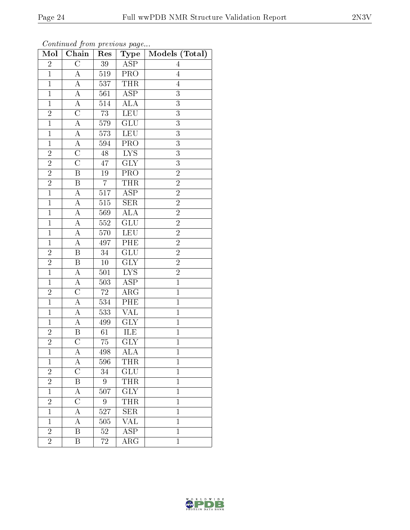| Mol              | Chain                   | Res              | $_{\rm Type}$           | Models (Total) |
|------------------|-------------------------|------------------|-------------------------|----------------|
| $\overline{2}$   | $\overline{\rm C}$      | 39               | ASP                     | 4              |
| $\mathbf{1}$     | $\boldsymbol{A}$        | 519              | <b>PRO</b>              | $\overline{4}$ |
| $\mathbf{1}$     | $\overline{\rm A}$      | 537              | <b>THR</b>              | $\overline{4}$ |
| $\mathbf{1}$     | $\boldsymbol{A}$        | 561              | $\overline{\text{ASP}}$ | 3              |
| $\overline{1}$   | $\overline{A}$          | 514              | $\overline{\rm ALA}$    | $\overline{3}$ |
| $\overline{2}$   | $\overline{\rm C}$      | 73               | LEU                     | $\overline{3}$ |
| $\overline{1}$   | A                       | 579              | $\overline{\text{GLU}}$ | $\overline{3}$ |
| $\mathbf{1}$     | A                       | 573              | LEU                     | $\overline{3}$ |
| $\overline{1}$   | $\boldsymbol{A}$        | 594              | $\overline{\text{PRO}}$ | 3              |
| $\boldsymbol{2}$ | $\overline{\rm C}$      | 48               | $\overline{\text{LYS}}$ | $\overline{3}$ |
| $\overline{2}$   | $\overline{\rm C}$      | 47               | <b>GLY</b>              | 3              |
| $\overline{2}$   | $\overline{\mathrm{B}}$ | 19               | $\overline{\text{PRO}}$ | $\overline{2}$ |
| $\overline{2}$   | $\boldsymbol{B}$        | $\overline{7}$   | <b>THR</b>              | $\overline{2}$ |
| $\overline{1}$   | A                       | 517              | ASP                     | $\overline{2}$ |
| $\mathbf{1}$     | А                       | 515              | $\overline{\text{SER}}$ | $\overline{2}$ |
| $\mathbf{1}$     | A                       | 569              | $\overline{\rm ALA}$    | $\overline{2}$ |
| $\mathbf{1}$     | A                       | 552              | $\overline{\text{GLU}}$ | $\overline{2}$ |
| $\mathbf{1}$     | $\boldsymbol{A}$        | 570              | <b>LEU</b>              | $\overline{2}$ |
| $\mathbf{1}$     | $\boldsymbol{A}$        | 497              | PHE                     | $\overline{2}$ |
| $\overline{2}$   | $\overline{\mathrm{B}}$ | $34\,$           | $\overline{\text{GLU}}$ | $\overline{2}$ |
| $\overline{2}$   | B                       | 10               | <b>GLY</b>              | $\overline{2}$ |
| $\mathbf{1}$     | $\overline{\rm A}$      | $\overline{501}$ | $\overline{\text{LYS}}$ | $\overline{2}$ |
| $\mathbf{1}$     | $\overline{\rm A}$      | 503              | <b>ASP</b>              | $\mathbf{1}$   |
| $\overline{2}$   | $\overline{\rm C}$      | $72\,$           | $\overline{\rm{ARG}}$   | $\overline{1}$ |
| $\mathbf{1}$     | $\overline{\rm A}$      | 534              | PHE                     | $\mathbf{1}$   |
| $\mathbf{1}$     | A                       | 533              | <b>VAL</b>              | $\mathbf{1}$   |
| $\mathbf{1}$     | $\overline{A}$          | 499              | $\overline{\text{GLY}}$ | $\mathbf{1}$   |
| $\overline{2}$   | Β                       | 61               | ILE                     | $\overline{1}$ |
| $\overline{2}$   | $\overline{\rm C}$      | 75               | <b>GLY</b>              | $\mathbf{1}$   |
| 1                | A                       | 498              | ALA                     | 1              |
| $\mathbf 1$      | A                       | 596              | THR                     | 1              |
| $\overline{2}$   | $\overline{\rm C}$      | 34               | $\overline{\text{GLU}}$ | $\mathbf 1$    |
| $\overline{2}$   | Β                       | 9                | THR                     | $\mathbf{1}$   |
| $\overline{1}$   | А                       | 507              | $\overline{\text{GLY}}$ | $\mathbf{1}$   |
| $\overline{c}$   | $\mathcal C$            | 9                | <b>THR</b>              | $\mathbf{1}$   |
| $\mathbf 1$      | А                       | 527              | <b>SER</b>              | $\mathbf{1}$   |
| $\mathbf{1}$     | A                       | 505              | <b>VAL</b>              | $\mathbf{1}$   |
| $\overline{2}$   | B                       | $52\,$           | <b>ASP</b>              | $\mathbf{1}$   |
| $\overline{2}$   | Β                       | 72               | $\overline{\rm{ARG}}$   | $\mathbf{1}$   |

Continued from previous page...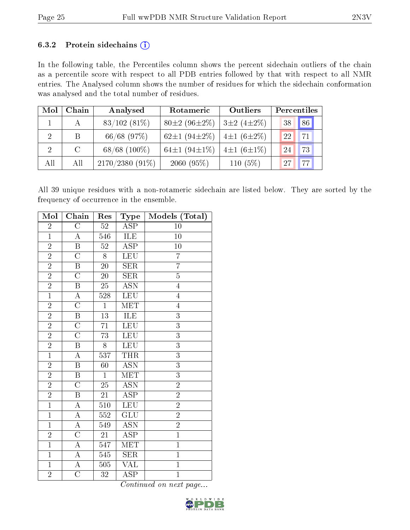#### 6.3.2 Protein sidechains  $(i)$

In the following table, the Percentiles column shows the percent sidechain outliers of the chain as a percentile score with respect to all PDB entries followed by that with respect to all NMR entries. The Analysed column shows the number of residues for which the sidechain conformation was analysed and the total number of residues.

| Mol            | Chain   | Analysed          | Rotameric                 | Outliers          |    | Percentiles |
|----------------|---------|-------------------|---------------------------|-------------------|----|-------------|
|                | А       | $83/102(81\%)$    | $80\pm2(96\pm2\%)$        | $3\pm2(4\pm2\%)$  | 38 | 86          |
| $\overline{2}$ | B       | $66/68$ (97\%)    | 62 $\pm$ 1 (94 $\pm$ 2\%) | $ 4\pm1(6\pm2\%)$ | 22 | 71          |
| 2              | $\rm C$ | $68/68$ $(100\%)$ | 64 $\pm$ 1 (94 $\pm$ 1%)  | $4\pm1(6\pm1\%)$  | 24 | 73          |
| All            | All     | $2170/2380(91\%)$ | $2060(95\%)$              | 110 $(5%)$        | 27 | 77          |

All 39 unique residues with a non-rotameric sidechain are listed below. They are sorted by the frequency of occurrence in the ensemble.

| Mol            | Chain                   | Res              | Type                      | Models (Total) |
|----------------|-------------------------|------------------|---------------------------|----------------|
| $\overline{2}$ | $\overline{\rm C}$      | $52\,$           | $\overline{\text{ASP}}$   | 10             |
| $\overline{1}$ | A                       | 546              | ILE                       | 10             |
| $\overline{2}$ | $\, {\bf B}$            | 52               | <b>ASP</b>                | $10\,$         |
| $\overline{2}$ | $\overline{\rm C}$      | 8                | <b>LEU</b>                | $\overline{7}$ |
| $\overline{2}$ | $\, {\bf B}$            | <b>20</b>        | <b>SER</b>                | $\overline{7}$ |
| $\overline{2}$ | $\overline{\rm C}$      | $\overline{2}0$  | SER                       | $\overline{5}$ |
| $\overline{2}$ | B                       | $25\,$           | <b>ASN</b>                | $\overline{4}$ |
| $\overline{1}$ | $\overline{\rm A}$      | $\overline{528}$ | <b>LEU</b>                | $\overline{4}$ |
| $\overline{2}$ | $\overline{\rm C}$      | $\overline{1}$   | <b>MET</b>                | $\overline{4}$ |
| $\overline{2}$ | $\, {\bf B}$            | $\overline{13}$  | ILE                       | $\overline{3}$ |
| $\overline{2}$ | $\overline{\rm C}$      | $\overline{71}$  | <b>LEU</b>                | $\overline{3}$ |
| $\overline{2}$ | $\overline{C}$          | 73               | LEU                       | 3              |
| $\overline{2}$ | $\overline{\mathrm{B}}$ | 8                | LEU                       | $\overline{3}$ |
| $\mathbf{1}$   | $\boldsymbol{A}$        | 537              | <b>THR</b>                | 3              |
| $\overline{2}$ | $\overline{\mathrm{B}}$ | 60               | $\overline{\mathrm{ASN}}$ | $\overline{3}$ |
| $\overline{2}$ | B                       | $\mathbf 1$      | <b>MET</b>                | $\overline{3}$ |
| $\overline{2}$ | $\overline{C}$          | 25               | <b>ASN</b>                | $\overline{2}$ |
| $\overline{2}$ | $\overline{\mathrm{B}}$ | $\overline{21}$  | $\overline{\text{ASP}}$   | $\overline{2}$ |
| $\overline{1}$ | $\overline{\rm A}$      | 510              | <b>LEU</b>                | $\overline{2}$ |
| $\overline{1}$ | A                       | 552              | $\overline{\text{GLU}}$   | $\overline{2}$ |
| $\overline{1}$ | $\overline{A}$          | 549              | <b>ASN</b>                | $\overline{2}$ |
| $\overline{2}$ | $\overline{C}$          | 21               | <b>ASP</b>                | $\overline{1}$ |
| $\overline{1}$ | $\overline{\rm A}$      | $\overline{547}$ | $\overline{\text{MET}}$   | $\overline{1}$ |
| $\overline{1}$ | $\overline{A}$          | 545              | <b>SER</b>                | $\overline{1}$ |
| $\overline{1}$ | $\overline{\rm A}$      | 505              | $\overline{\text{VAL}}$   | $\overline{1}$ |
| $\overline{2}$ | $\overline{\rm C}$      | 32               | ASP                       | $\mathbf{1}$   |

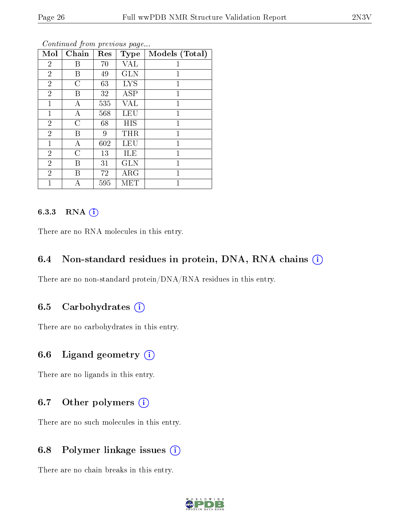| Mol            | Chain          | Res | <b>Type</b> | Models (Total) |
|----------------|----------------|-----|-------------|----------------|
| $\overline{2}$ | Β              | 70  | VAL         |                |
| $\overline{2}$ | Β              | 49  | <b>GLN</b>  | 1              |
| $\overline{2}$ | $\overline{C}$ | 63  | <b>LYS</b>  | $\mathbf{1}$   |
| $\overline{2}$ | B              | 32  | <b>ASP</b>  | $\overline{1}$ |
| $\mathbf{1}$   | А              | 535 | <b>VAL</b>  | 1              |
| $\mathbf{1}$   | А              | 568 | <b>LEU</b>  | 1              |
| $\overline{2}$ | $\overline{C}$ | 68  | <b>HIS</b>  | $\mathbf{1}$   |
| $\overline{2}$ | B              | 9   | THR         | $\mathbf{1}$   |
| 1              | А              | 602 | <b>LEU</b>  | 1              |
| $\overline{2}$ | С              | 13  | ILE         | 1              |
| $\overline{2}$ | B              | 31  | GLN         | $\mathbf{1}$   |
| $\overline{2}$ | В              | 72  | ARG         | $\overline{1}$ |
| $\mathbf{1}$   | А              | 595 | MET         | 1              |

#### 6.3.3 RNA [O](https://www.wwpdb.org/validation/2017/NMRValidationReportHelp#rna)i

There are no RNA molecules in this entry.

## 6.4 Non-standard residues in protein, DNA, RNA chains (i)

There are no non-standard protein/DNA/RNA residues in this entry.

# 6.5 Carbohydrates (i)

There are no carbohydrates in this entry.

#### 6.6 Ligand geometry (i)

There are no ligands in this entry.

# 6.7 [O](https://www.wwpdb.org/validation/2017/NMRValidationReportHelp#nonstandard_residues_and_ligands)ther polymers (i)

There are no such molecules in this entry.

# 6.8 Polymer linkage issues (i)

There are no chain breaks in this entry.

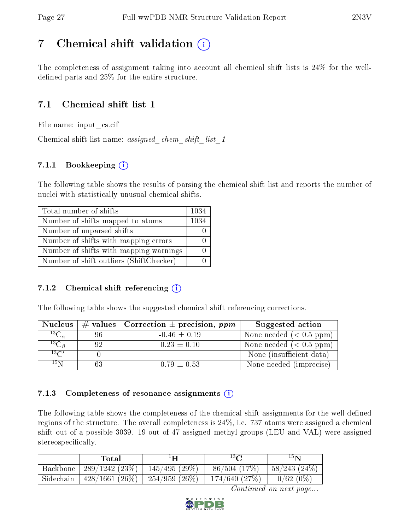# <span id="page-26-0"></span>7 Chemical shift validation  $\left( \begin{array}{c} \overline{1} \end{array} \right)$

The completeness of assignment taking into account all chemical shift lists is 24% for the welldefined parts and  $25\%$  for the entire structure.

# 7.1 Chemical shift list 1

File name: input\_cs.cif

Chemical shift list name: *assigned\_chem\_shift\_list\_1* 

# 7.1.1 Bookkeeping (i)

The following table shows the results of parsing the chemical shift list and reports the number of nuclei with statistically unusual chemical shifts.

| Total number of shifts                  | 1034 |
|-----------------------------------------|------|
| Number of shifts mapped to atoms        | 1034 |
| Number of unparsed shifts               |      |
| Number of shifts with mapping errors    |      |
| Number of shifts with mapping warnings  |      |
| Number of shift outliers (ShiftChecker) |      |

## 7.1.2 Chemical shift referencing  $\hat{I}$

The following table shows the suggested chemical shift referencing corrections.

| <b>Nucleus</b>                        |    | # values   Correction $\pm$ precision, ppm | Suggested action                            |
|---------------------------------------|----|--------------------------------------------|---------------------------------------------|
| $^{13}\overline{\mathrm{C}_{\alpha}}$ | 96 | $-0.46 \pm 0.19$                           | None needed $(0.5 ppm)$                     |
| ${}^{13}C_{\beta}$                    | 92 | $0.23 \pm 0.10$                            | None needed $(0.5 ppm)$                     |
| $13\text{C}$                          |    |                                            | None (insufficient data)                    |
| $15\,\mathrm{N}$                      |    | $0.79 \pm 0.53$                            | $\overline{\text{None}}$ needed (imprecise) |

## 7.1.3 Completeness of resonance assignments  $(i)$

The following table shows the completeness of the chemical shift assignments for the well-defined regions of the structure. The overall completeness is 24%, i.e. 737 atoms were assigned a chemical shift out of a possible 3039. 19 out of 47 assigned methyl groups (LEU and VAL) were assigned stereospecifically.

|           | Total                      | 1H               | 13 <sub>C</sub> | $15\,$ N       |
|-----------|----------------------------|------------------|-----------------|----------------|
| Backbone  | $'$ 289/1242 (23\%)        | $145/495(29\%)$  | $86/504$ (17\%) | $58/243(24\%)$ |
| Sidechain | $\pm 428/1661$ (26%) $\pm$ | $-254/959(26\%)$ | 174/640 (27%)   | $0/62(0\%)$    |